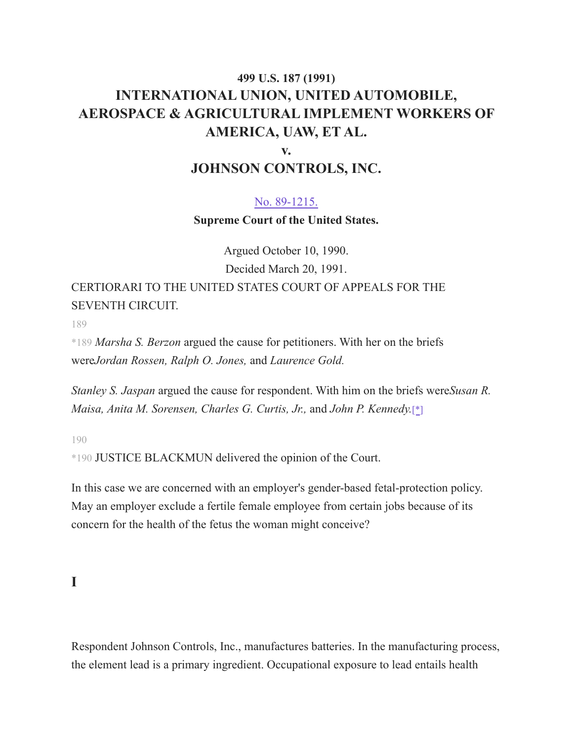# **499 U.S. 187 (1991) INTERNATIONAL UNION, UNITED AUTOMOBILE, AEROSPACE & AGRICULTURAL IMPLEMENT WORKERS OF AMERICA, UAW, ET AL.**

## **v. JOHNSON CONTROLS, INC.**

## [No. 89-1215.](http://scholar.google.com/scholar?scidkt=9047616646061018409&as_sdt=2&hl=en)

## **Supreme Court of the United States.**

Argued October 10, 1990.

Decided March 20, 1991.

CERTIORARI TO THE UNITED STATES COURT OF APPEALS FOR THE SEVENTH CIRCUIT.

189

\*189 *Marsha S. Berzon* argued the cause for petitioners. With her on the briefs were*Jordan Rossen, Ralph O. Jones,* and *Laurence Gold.*

*Stanley S. Jaspan* argued the cause for respondent. With him on the briefs were*Susan R. Maisa, Anita M. Sorensen, Charles G. Curtis, Jr.,* and *John P. Kennedy.*[\[\\*\]](http://scholar.google.com/scholar_case?q=Automobile+Workers+v.+Johnson+Controls&hl=en&as_sdt=2,14&case=16132234154136361578&scilh=0#%5B1%5D)

190

\*190 JUSTICE BLACKMUN delivered the opinion of the Court.

In this case we are concerned with an employer's gender-based fetal-protection policy. May an employer exclude a fertile female employee from certain jobs because of its concern for the health of the fetus the woman might conceive?

## **I**

Respondent Johnson Controls, Inc., manufactures batteries. In the manufacturing process, the element lead is a primary ingredient. Occupational exposure to lead entails health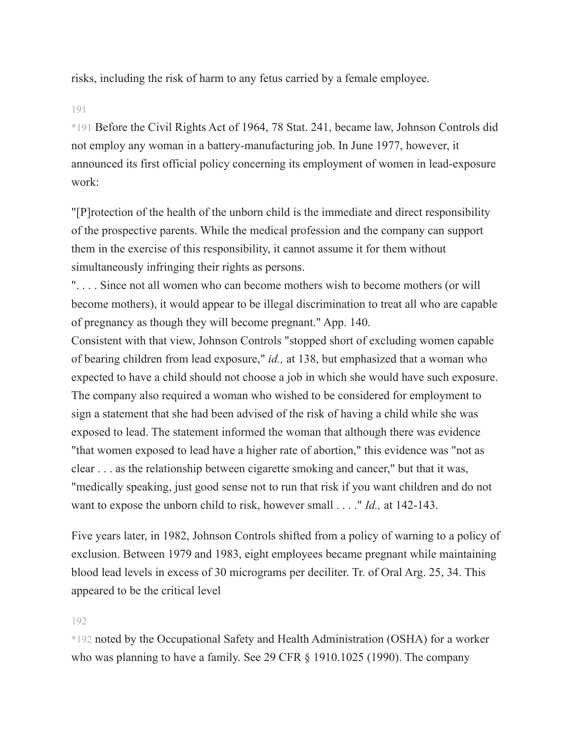risks, including the risk of harm to any fetus carried by a female employee.

191

\*191 Before the Civil Rights Act of 1964, 78 Stat. 241, became law, Johnson Controls did not employ any woman in a battery-manufacturing job. In June 1977, however, it announced its first official policy concerning its employment of women in lead-exposure work:

"[P]rotection of the health of the unborn child is the immediate and direct responsibility of the prospective parents. While the medical profession and the company can support them in the exercise of this responsibility, it cannot assume it for them without simultaneously infringing their rights as persons.

". . . . Since not all women who can become mothers wish to become mothers (or will become mothers), it would appear to be illegal discrimination to treat all who are capable of pregnancy as though they will become pregnant." App. 140.

Consistent with that view, Johnson Controls "stopped short of excluding women capable of bearing children from lead exposure," *id.,* at 138, but emphasized that a woman who expected to have a child should not choose a job in which she would have such exposure. The company also required a woman who wished to be considered for employment to sign a statement that she had been advised of the risk of having a child while she was exposed to lead. The statement informed the woman that although there was evidence "that women exposed to lead have a higher rate of abortion," this evidence was "not as clear . . . as the relationship between cigarette smoking and cancer," but that it was, "medically speaking, just good sense not to run that risk if you want children and do not want to expose the unborn child to risk, however small . . . ." *Id.,* at 142-143.

Five years later, in 1982, Johnson Controls shifted from a policy of warning to a policy of exclusion. Between 1979 and 1983, eight employees became pregnant while maintaining blood lead levels in excess of 30 micrograms per deciliter. Tr. of Oral Arg. 25, 34. This appeared to be the critical level

192

\*192 noted by the Occupational Safety and Health Administration (OSHA) for a worker who was planning to have a family. See 29 CFR § 1910.1025 (1990). The company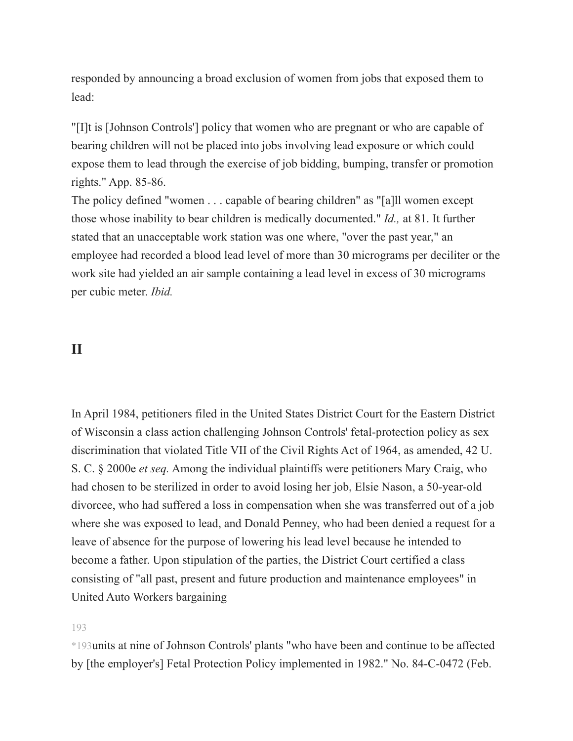responded by announcing a broad exclusion of women from jobs that exposed them to lead:

"[I]t is [Johnson Controls'] policy that women who are pregnant or who are capable of bearing children will not be placed into jobs involving lead exposure or which could expose them to lead through the exercise of job bidding, bumping, transfer or promotion rights." App. 85-86.

The policy defined "women . . . capable of bearing children" as "[a]ll women except those whose inability to bear children is medically documented." *Id.,* at 81. It further stated that an unacceptable work station was one where, "over the past year," an employee had recorded a blood lead level of more than 30 micrograms per deciliter or the work site had yielded an air sample containing a lead level in excess of 30 micrograms per cubic meter. *Ibid.*

## **II**

In April 1984, petitioners filed in the United States District Court for the Eastern District of Wisconsin a class action challenging Johnson Controls' fetal-protection policy as sex discrimination that violated Title VII of the Civil Rights Act of 1964, as amended, 42 U. S. C. § 2000e *et seq.* Among the individual plaintiffs were petitioners Mary Craig, who had chosen to be sterilized in order to avoid losing her job, Elsie Nason, a 50-year-old divorcee, who had suffered a loss in compensation when she was transferred out of a job where she was exposed to lead, and Donald Penney, who had been denied a request for a leave of absence for the purpose of lowering his lead level because he intended to become a father. Upon stipulation of the parties, the District Court certified a class consisting of "all past, present and future production and maintenance employees" in United Auto Workers bargaining

#### 193

\*193units at nine of Johnson Controls' plants "who have been and continue to be affected by [the employer's] Fetal Protection Policy implemented in 1982." No. 84-C-0472 (Feb.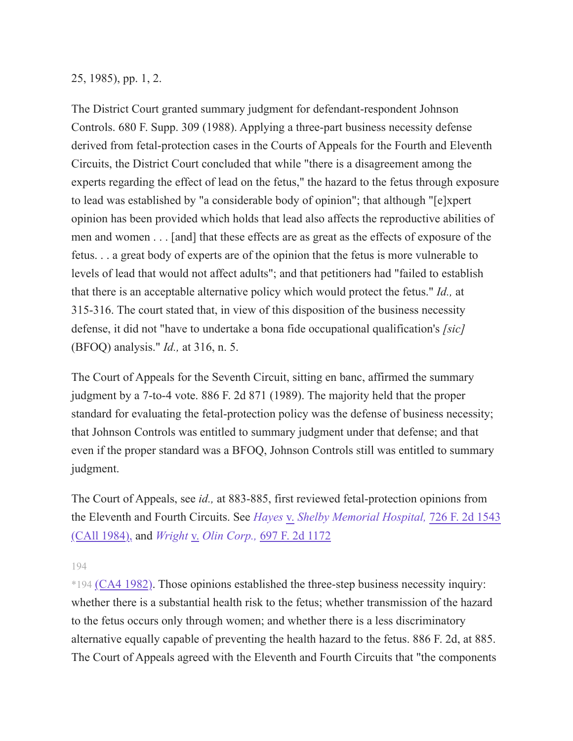## 25, 1985), pp. 1, 2.

The District Court granted summary judgment for defendant-respondent Johnson Controls. 680 F. Supp. 309 (1988). Applying a three-part business necessity defense derived from fetal-protection cases in the Courts of Appeals for the Fourth and Eleventh Circuits, the District Court concluded that while "there is a disagreement among the experts regarding the effect of lead on the fetus," the hazard to the fetus through exposure to lead was established by "a considerable body of opinion"; that although "[e]xpert opinion has been provided which holds that lead also affects the reproductive abilities of men and women . . . [and] that these effects are as great as the effects of exposure of the fetus. . . a great body of experts are of the opinion that the fetus is more vulnerable to levels of lead that would not affect adults"; and that petitioners had "failed to establish that there is an acceptable alternative policy which would protect the fetus." *Id.,* at 315-316. The court stated that, in view of this disposition of the business necessity defense, it did not "have to undertake a bona fide occupational qualification's *[sic]* (BFOQ) analysis." *Id.,* at 316, n. 5.

The Court of Appeals for the Seventh Circuit, sitting en banc, affirmed the summary judgment by a 7-to-4 vote. 886 F. 2d 871 (1989). The majority held that the proper standard for evaluating the fetal-protection policy was the defense of business necessity; that Johnson Controls was entitled to summary judgment under that defense; and that even if the proper standard was a BFOQ, Johnson Controls still was entitled to summary judgment.

The Court of Appeals, see *id.,* at 883-885, first reviewed fetal-protection opinions from the Eleventh and Fourth Circuits. See *[Hayes](http://scholar.google.com/scholar_case?case=6736975915427181062&q=Automobile+Workers+v.+Johnson+Controls&hl=en&as_sdt=2,14&scilh=0)* [v.](http://scholar.google.com/scholar_case?case=6736975915427181062&q=Automobile+Workers+v.+Johnson+Controls&hl=en&as_sdt=2,14&scilh=0) *[Shelby Memorial Hospital,](http://scholar.google.com/scholar_case?case=6736975915427181062&q=Automobile+Workers+v.+Johnson+Controls&hl=en&as_sdt=2,14&scilh=0)* [726 F. 2d 1543](http://scholar.google.com/scholar_case?case=6736975915427181062&q=Automobile+Workers+v.+Johnson+Controls&hl=en&as_sdt=2,14&scilh=0)  [\(CAll 1984\),](http://scholar.google.com/scholar_case?case=6736975915427181062&q=Automobile+Workers+v.+Johnson+Controls&hl=en&as_sdt=2,14&scilh=0) and *[Wright](http://scholar.google.com/scholar_case?case=4795303639520942010&q=Automobile+Workers+v.+Johnson+Controls&hl=en&as_sdt=2,14&scilh=0)* [v.](http://scholar.google.com/scholar_case?case=4795303639520942010&q=Automobile+Workers+v.+Johnson+Controls&hl=en&as_sdt=2,14&scilh=0) *[Olin Corp.,](http://scholar.google.com/scholar_case?case=4795303639520942010&q=Automobile+Workers+v.+Johnson+Controls&hl=en&as_sdt=2,14&scilh=0)* [697 F. 2d 1172](http://scholar.google.com/scholar_case?case=4795303639520942010&q=Automobile+Workers+v.+Johnson+Controls&hl=en&as_sdt=2,14&scilh=0)

194

\*194 [\(CA4 1982\).](http://scholar.google.com/scholar_case?case=4795303639520942010&q=Automobile+Workers+v.+Johnson+Controls&hl=en&as_sdt=2,14&scilh=0) Those opinions established the three-step business necessity inquiry: whether there is a substantial health risk to the fetus; whether transmission of the hazard to the fetus occurs only through women; and whether there is a less discriminatory alternative equally capable of preventing the health hazard to the fetus. 886 F. 2d, at 885. The Court of Appeals agreed with the Eleventh and Fourth Circuits that "the components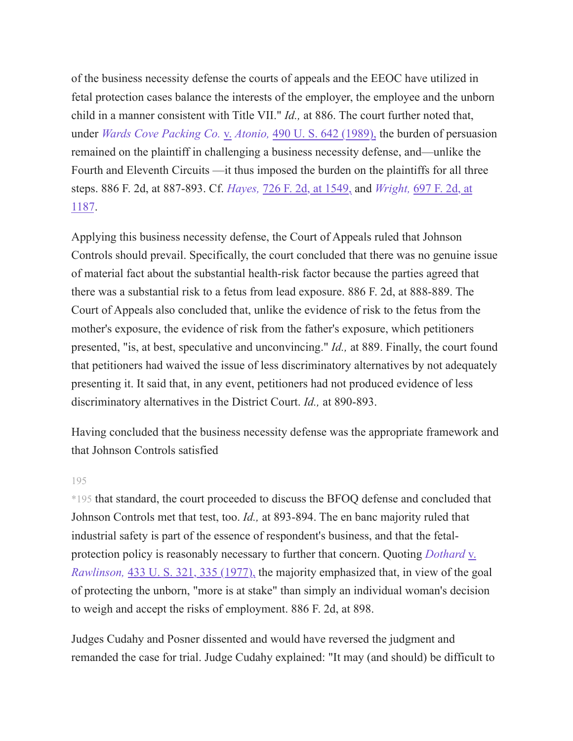of the business necessity defense the courts of appeals and the EEOC have utilized in fetal protection cases balance the interests of the employer, the employee and the unborn child in a manner consistent with Title VII." *Id.,* at 886. The court further noted that, under *[Wards Cove Packing Co.](http://scholar.google.com/scholar_case?case=4023771275110948829&q=Automobile+Workers+v.+Johnson+Controls&hl=en&as_sdt=2,14&scilh=0)* [v.](http://scholar.google.com/scholar_case?case=4023771275110948829&q=Automobile+Workers+v.+Johnson+Controls&hl=en&as_sdt=2,14&scilh=0) *[Atonio,](http://scholar.google.com/scholar_case?case=4023771275110948829&q=Automobile+Workers+v.+Johnson+Controls&hl=en&as_sdt=2,14&scilh=0)* [490 U. S. 642 \(1989\),](http://scholar.google.com/scholar_case?case=4023771275110948829&q=Automobile+Workers+v.+Johnson+Controls&hl=en&as_sdt=2,14&scilh=0) the burden of persuasion remained on the plaintiff in challenging a business necessity defense, and—unlike the Fourth and Eleventh Circuits —it thus imposed the burden on the plaintiffs for all three steps. 886 F. 2d, at 887-893. Cf. *[Hayes,](http://scholar.google.com/scholar_case?case=6736975915427181062&q=Automobile+Workers+v.+Johnson+Controls&hl=en&as_sdt=2,14&scilh=0)* [726 F. 2d, at 1549,](http://scholar.google.com/scholar_case?case=6736975915427181062&q=Automobile+Workers+v.+Johnson+Controls&hl=en&as_sdt=2,14&scilh=0) and *[Wright,](http://scholar.google.com/scholar_case?case=4795303639520942010&q=Automobile+Workers+v.+Johnson+Controls&hl=en&as_sdt=2,14&scilh=0)* [697 F. 2d, at](http://scholar.google.com/scholar_case?case=4795303639520942010&q=Automobile+Workers+v.+Johnson+Controls&hl=en&as_sdt=2,14&scilh=0)  [1187](http://scholar.google.com/scholar_case?case=4795303639520942010&q=Automobile+Workers+v.+Johnson+Controls&hl=en&as_sdt=2,14&scilh=0).

Applying this business necessity defense, the Court of Appeals ruled that Johnson Controls should prevail. Specifically, the court concluded that there was no genuine issue of material fact about the substantial health-risk factor because the parties agreed that there was a substantial risk to a fetus from lead exposure. 886 F. 2d, at 888-889. The Court of Appeals also concluded that, unlike the evidence of risk to the fetus from the mother's exposure, the evidence of risk from the father's exposure, which petitioners presented, "is, at best, speculative and unconvincing." *Id.,* at 889. Finally, the court found that petitioners had waived the issue of less discriminatory alternatives by not adequately presenting it. It said that, in any event, petitioners had not produced evidence of less discriminatory alternatives in the District Court. *Id.,* at 890-893.

Having concluded that the business necessity defense was the appropriate framework and that Johnson Controls satisfied

#### 195

\*195 that standard, the court proceeded to discuss the BFOQ defense and concluded that Johnson Controls met that test, too. *Id.,* at 893-894. The en banc majority ruled that industrial safety is part of the essence of respondent's business, and that the fetalprotection policy is reasonably necessary to further that concern. Quoting *[Dothard](http://scholar.google.com/scholar_case?case=172357958960664770&q=Automobile+Workers+v.+Johnson+Controls&hl=en&as_sdt=2,14&scilh=0)* [v.](http://scholar.google.com/scholar_case?case=172357958960664770&q=Automobile+Workers+v.+Johnson+Controls&hl=en&as_sdt=2,14&scilh=0) *[Rawlinson,](http://scholar.google.com/scholar_case?case=172357958960664770&q=Automobile+Workers+v.+Johnson+Controls&hl=en&as_sdt=2,14&scilh=0)* [433 U. S. 321, 335 \(1977\),](http://scholar.google.com/scholar_case?case=172357958960664770&q=Automobile+Workers+v.+Johnson+Controls&hl=en&as_sdt=2,14&scilh=0) the majority emphasized that, in view of the goal of protecting the unborn, "more is at stake" than simply an individual woman's decision to weigh and accept the risks of employment. 886 F. 2d, at 898.

Judges Cudahy and Posner dissented and would have reversed the judgment and remanded the case for trial. Judge Cudahy explained: "It may (and should) be difficult to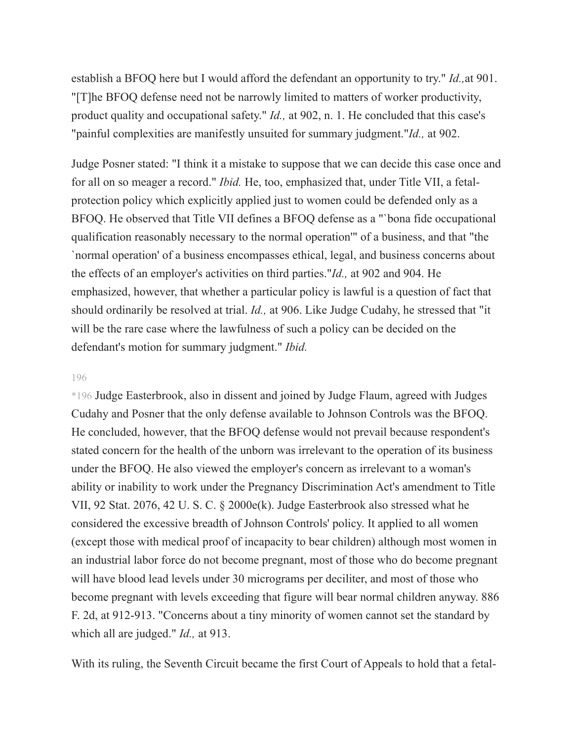establish a BFOQ here but I would afford the defendant an opportunity to try." *Id.,*at 901. "[T]he BFOQ defense need not be narrowly limited to matters of worker productivity, product quality and occupational safety." *Id.,* at 902, n. 1. He concluded that this case's "painful complexities are manifestly unsuited for summary judgment."*Id.,* at 902.

Judge Posner stated: "I think it a mistake to suppose that we can decide this case once and for all on so meager a record." *Ibid.* He, too, emphasized that, under Title VII, a fetalprotection policy which explicitly applied just to women could be defended only as a BFOQ. He observed that Title VII defines a BFOQ defense as a "`bona fide occupational qualification reasonably necessary to the normal operation'" of a business, and that "the `normal operation' of a business encompasses ethical, legal, and business concerns about the effects of an employer's activities on third parties."*Id.,* at 902 and 904. He emphasized, however, that whether a particular policy is lawful is a question of fact that should ordinarily be resolved at trial. *Id.,* at 906. Like Judge Cudahy, he stressed that "it will be the rare case where the lawfulness of such a policy can be decided on the defendant's motion for summary judgment." *Ibid.*

#### 196

\*196 Judge Easterbrook, also in dissent and joined by Judge Flaum, agreed with Judges Cudahy and Posner that the only defense available to Johnson Controls was the BFOQ. He concluded, however, that the BFOQ defense would not prevail because respondent's stated concern for the health of the unborn was irrelevant to the operation of its business under the BFOQ. He also viewed the employer's concern as irrelevant to a woman's ability or inability to work under the Pregnancy Discrimination Act's amendment to Title VII, 92 Stat. 2076, 42 U. S. C. § 2000e(k). Judge Easterbrook also stressed what he considered the excessive breadth of Johnson Controls' policy. It applied to all women (except those with medical proof of incapacity to bear children) although most women in an industrial labor force do not become pregnant, most of those who do become pregnant will have blood lead levels under 30 micrograms per deciliter, and most of those who become pregnant with levels exceeding that figure will bear normal children anyway. 886 F. 2d, at 912-913. "Concerns about a tiny minority of women cannot set the standard by which all are judged." *Id.,* at 913.

With its ruling, the Seventh Circuit became the first Court of Appeals to hold that a fetal-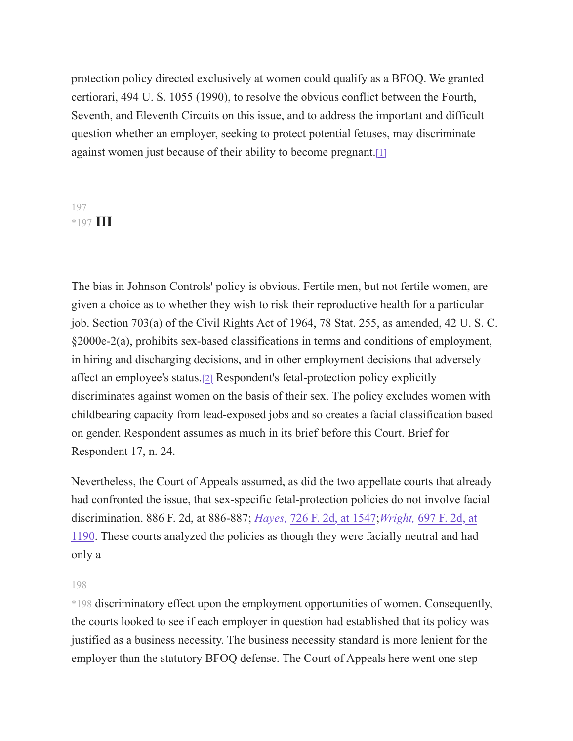protection policy directed exclusively at women could qualify as a BFOQ. We granted certiorari, 494 U. S. 1055 (1990), to resolve the obvious conflict between the Fourth, Seventh, and Eleventh Circuits on this issue, and to address the important and difficult question whether an employer, seeking to protect potential fetuses, may discriminate against women just because of their ability to become pregnant.[\[1\]](http://scholar.google.com/scholar_case?q=Automobile+Workers+v.+Johnson+Controls&hl=en&as_sdt=2,14&case=16132234154136361578&scilh=0#%5B2%5D)

197 \*197 **III**

The bias in Johnson Controls' policy is obvious. Fertile men, but not fertile women, are given a choice as to whether they wish to risk their reproductive health for a particular job. Section 703(a) of the Civil Rights Act of 1964, 78 Stat. 255, as amended, 42 U. S. C. §2000e-2(a), prohibits sex-based classifications in terms and conditions of employment, in hiring and discharging decisions, and in other employment decisions that adversely affect an employee's status.[\[2\]](http://scholar.google.com/scholar_case?q=Automobile+Workers+v.+Johnson+Controls&hl=en&as_sdt=2,14&case=16132234154136361578&scilh=0#%5B3%5D) Respondent's fetal-protection policy explicitly discriminates against women on the basis of their sex. The policy excludes women with childbearing capacity from lead-exposed jobs and so creates a facial classification based on gender. Respondent assumes as much in its brief before this Court. Brief for Respondent 17, n. 24.

Nevertheless, the Court of Appeals assumed, as did the two appellate courts that already had confronted the issue, that sex-specific fetal-protection policies do not involve facial discrimination. 886 F. 2d, at 886-887; *[Hayes,](http://scholar.google.com/scholar_case?case=6736975915427181062&q=Automobile+Workers+v.+Johnson+Controls&hl=en&as_sdt=2,14&scilh=0)* [726 F. 2d, at 1547](http://scholar.google.com/scholar_case?case=6736975915427181062&q=Automobile+Workers+v.+Johnson+Controls&hl=en&as_sdt=2,14&scilh=0);*[Wright,](http://scholar.google.com/scholar_case?case=4795303639520942010&q=Automobile+Workers+v.+Johnson+Controls&hl=en&as_sdt=2,14&scilh=0)* [697 F. 2d, at](http://scholar.google.com/scholar_case?case=4795303639520942010&q=Automobile+Workers+v.+Johnson+Controls&hl=en&as_sdt=2,14&scilh=0)  [1190](http://scholar.google.com/scholar_case?case=4795303639520942010&q=Automobile+Workers+v.+Johnson+Controls&hl=en&as_sdt=2,14&scilh=0). These courts analyzed the policies as though they were facially neutral and had only a

198

\*198 discriminatory effect upon the employment opportunities of women. Consequently, the courts looked to see if each employer in question had established that its policy was justified as a business necessity. The business necessity standard is more lenient for the employer than the statutory BFOQ defense. The Court of Appeals here went one step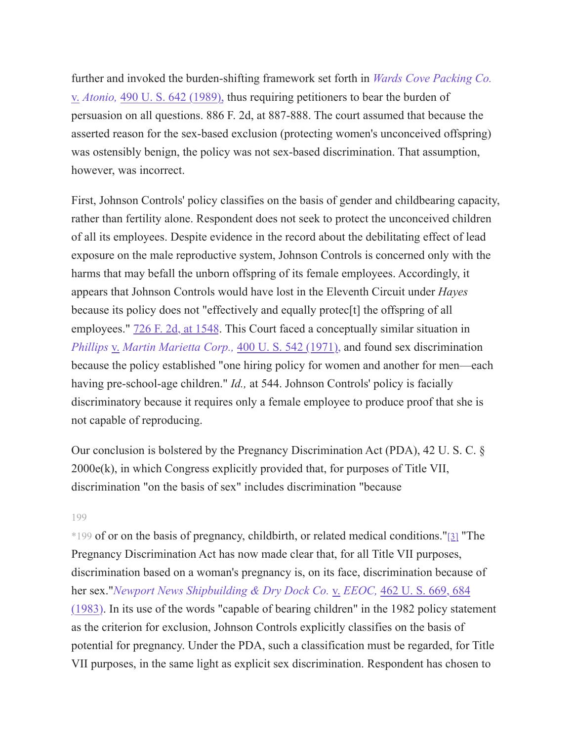further and invoked the burden-shifting framework set forth in *[Wards Cove Packing Co.](http://scholar.google.com/scholar_case?case=4023771275110948829&q=Automobile+Workers+v.+Johnson+Controls&hl=en&as_sdt=2,14&scilh=0)* [v.](http://scholar.google.com/scholar_case?case=4023771275110948829&q=Automobile+Workers+v.+Johnson+Controls&hl=en&as_sdt=2,14&scilh=0) *[Atonio,](http://scholar.google.com/scholar_case?case=4023771275110948829&q=Automobile+Workers+v.+Johnson+Controls&hl=en&as_sdt=2,14&scilh=0)* [490 U. S. 642 \(1989\),](http://scholar.google.com/scholar_case?case=4023771275110948829&q=Automobile+Workers+v.+Johnson+Controls&hl=en&as_sdt=2,14&scilh=0) thus requiring petitioners to bear the burden of persuasion on all questions. 886 F. 2d, at 887-888. The court assumed that because the asserted reason for the sex-based exclusion (protecting women's unconceived offspring) was ostensibly benign, the policy was not sex-based discrimination. That assumption, however, was incorrect.

First, Johnson Controls' policy classifies on the basis of gender and childbearing capacity, rather than fertility alone. Respondent does not seek to protect the unconceived children of all its employees. Despite evidence in the record about the debilitating effect of lead exposure on the male reproductive system, Johnson Controls is concerned only with the harms that may befall the unborn offspring of its female employees. Accordingly, it appears that Johnson Controls would have lost in the Eleventh Circuit under *Hayes* because its policy does not "effectively and equally protec[t] the offspring of all employees." [726 F. 2d, at 1548](http://scholar.google.com/scholar_case?case=6736975915427181062&q=Automobile+Workers+v.+Johnson+Controls&hl=en&as_sdt=2,14&scilh=0). This Court faced a conceptually similar situation in *[Phillips](http://scholar.google.com/scholar_case?case=14318546533206023249&q=Automobile+Workers+v.+Johnson+Controls&hl=en&as_sdt=2,14&scilh=0)* [v.](http://scholar.google.com/scholar_case?case=14318546533206023249&q=Automobile+Workers+v.+Johnson+Controls&hl=en&as_sdt=2,14&scilh=0) *[Martin Marietta Corp.,](http://scholar.google.com/scholar_case?case=14318546533206023249&q=Automobile+Workers+v.+Johnson+Controls&hl=en&as_sdt=2,14&scilh=0)* [400 U. S. 542 \(1971\),](http://scholar.google.com/scholar_case?case=14318546533206023249&q=Automobile+Workers+v.+Johnson+Controls&hl=en&as_sdt=2,14&scilh=0) and found sex discrimination because the policy established "one hiring policy for women and another for men—each having pre-school-age children." *Id.,* at 544. Johnson Controls' policy is facially discriminatory because it requires only a female employee to produce proof that she is not capable of reproducing.

Our conclusion is bolstered by the Pregnancy Discrimination Act (PDA), 42 U. S. C. § 2000e(k), in which Congress explicitly provided that, for purposes of Title VII, discrimination "on the basis of sex" includes discrimination "because

#### 199

\*199 of or on the basis of pregnancy, childbirth, or related medical conditions.["\[3\]](http://scholar.google.com/scholar_case?q=Automobile+Workers+v.+Johnson+Controls&hl=en&as_sdt=2,14&case=16132234154136361578&scilh=0#%5B4%5D) "The Pregnancy Discrimination Act has now made clear that, for all Title VII purposes, discrimination based on a woman's pregnancy is, on its face, discrimination because of her sex."*[Newport News Shipbuilding & Dry Dock Co.](http://scholar.google.com/scholar_case?case=6977954238570101328&q=Automobile+Workers+v.+Johnson+Controls&hl=en&as_sdt=2,14&scilh=0)* [v.](http://scholar.google.com/scholar_case?case=6977954238570101328&q=Automobile+Workers+v.+Johnson+Controls&hl=en&as_sdt=2,14&scilh=0) *[EEOC,](http://scholar.google.com/scholar_case?case=6977954238570101328&q=Automobile+Workers+v.+Johnson+Controls&hl=en&as_sdt=2,14&scilh=0)* [462 U. S. 669, 684](http://scholar.google.com/scholar_case?case=6977954238570101328&q=Automobile+Workers+v.+Johnson+Controls&hl=en&as_sdt=2,14&scilh=0)  [\(1983\)](http://scholar.google.com/scholar_case?case=6977954238570101328&q=Automobile+Workers+v.+Johnson+Controls&hl=en&as_sdt=2,14&scilh=0). In its use of the words "capable of bearing children" in the 1982 policy statement as the criterion for exclusion, Johnson Controls explicitly classifies on the basis of potential for pregnancy. Under the PDA, such a classification must be regarded, for Title VII purposes, in the same light as explicit sex discrimination. Respondent has chosen to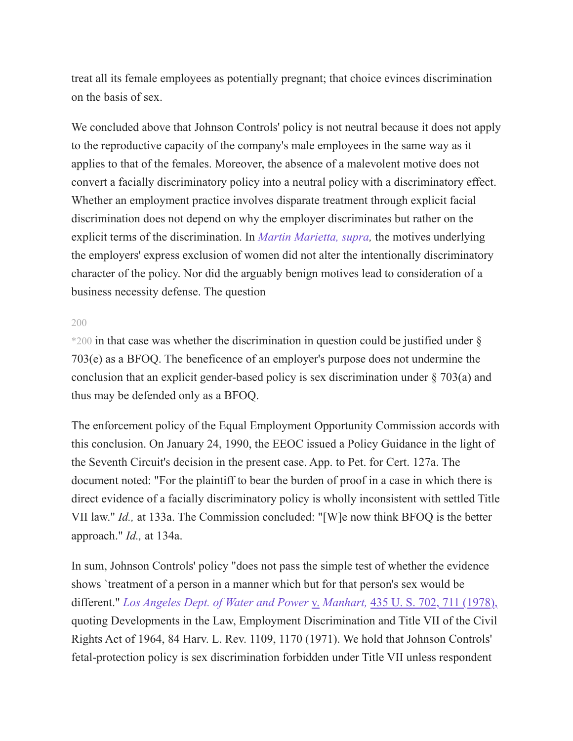treat all its female employees as potentially pregnant; that choice evinces discrimination on the basis of sex.

We concluded above that Johnson Controls' policy is not neutral because it does not apply to the reproductive capacity of the company's male employees in the same way as it applies to that of the females. Moreover, the absence of a malevolent motive does not convert a facially discriminatory policy into a neutral policy with a discriminatory effect. Whether an employment practice involves disparate treatment through explicit facial discrimination does not depend on why the employer discriminates but rather on the explicit terms of the discrimination. In *[Martin Marietta, supra,](http://scholar.google.com/scholar_case?case=14318546533206023249&q=Automobile+Workers+v.+Johnson+Controls&hl=en&as_sdt=2,14&scilh=0)* the motives underlying the employers' express exclusion of women did not alter the intentionally discriminatory character of the policy. Nor did the arguably benign motives lead to consideration of a business necessity defense. The question

### 200

 $*200$  in that case was whether the discrimination in question could be justified under  $\S$ 703(e) as a BFOQ. The beneficence of an employer's purpose does not undermine the conclusion that an explicit gender-based policy is sex discrimination under § 703(a) and thus may be defended only as a BFOQ.

The enforcement policy of the Equal Employment Opportunity Commission accords with this conclusion. On January 24, 1990, the EEOC issued a Policy Guidance in the light of the Seventh Circuit's decision in the present case. App. to Pet. for Cert. 127a. The document noted: "For the plaintiff to bear the burden of proof in a case in which there is direct evidence of a facially discriminatory policy is wholly inconsistent with settled Title VII law." *Id.,* at 133a. The Commission concluded: "[W]e now think BFOQ is the better approach." *Id.,* at 134a.

In sum, Johnson Controls' policy "does not pass the simple test of whether the evidence shows `treatment of a person in a manner which but for that person's sex would be different." *[Los Angeles Dept. of Water and Power](http://scholar.google.com/scholar_case?case=10164337249526753874&q=Automobile+Workers+v.+Johnson+Controls&hl=en&as_sdt=2,14&scilh=0)* [v.](http://scholar.google.com/scholar_case?case=10164337249526753874&q=Automobile+Workers+v.+Johnson+Controls&hl=en&as_sdt=2,14&scilh=0) *[Manhart,](http://scholar.google.com/scholar_case?case=10164337249526753874&q=Automobile+Workers+v.+Johnson+Controls&hl=en&as_sdt=2,14&scilh=0)* [435 U. S. 702, 711 \(1978\),](http://scholar.google.com/scholar_case?case=10164337249526753874&q=Automobile+Workers+v.+Johnson+Controls&hl=en&as_sdt=2,14&scilh=0) quoting Developments in the Law, Employment Discrimination and Title VII of the Civil Rights Act of 1964, 84 Harv. L. Rev. 1109, 1170 (1971). We hold that Johnson Controls' fetal-protection policy is sex discrimination forbidden under Title VII unless respondent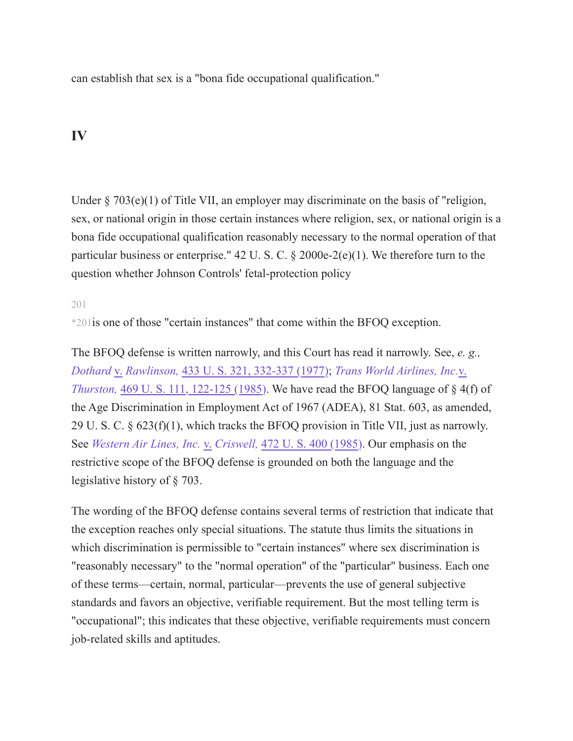can establish that sex is a "bona fide occupational qualification."

## **IV**

Under § 703(e)(1) of Title VII, an employer may discriminate on the basis of "religion, sex, or national origin in those certain instances where religion, sex, or national origin is a bona fide occupational qualification reasonably necessary to the normal operation of that particular business or enterprise." 42 U. S. C. § 2000e-2(e)(1). We therefore turn to the question whether Johnson Controls' fetal-protection policy

### 201

\*201is one of those "certain instances" that come within the BFOQ exception.

The BFOQ defense is written narrowly, and this Court has read it narrowly. See, *e. g., [Dothard](http://scholar.google.com/scholar_case?case=172357958960664770&q=Automobile+Workers+v.+Johnson+Controls&hl=en&as_sdt=2,14&scilh=0)* [v.](http://scholar.google.com/scholar_case?case=172357958960664770&q=Automobile+Workers+v.+Johnson+Controls&hl=en&as_sdt=2,14&scilh=0) *[Rawlinson,](http://scholar.google.com/scholar_case?case=172357958960664770&q=Automobile+Workers+v.+Johnson+Controls&hl=en&as_sdt=2,14&scilh=0)* [433 U. S. 321, 332-337 \(1977\)](http://scholar.google.com/scholar_case?case=172357958960664770&q=Automobile+Workers+v.+Johnson+Controls&hl=en&as_sdt=2,14&scilh=0); *[Trans World Airlines, Inc.](http://scholar.google.com/scholar_case?case=17754056693050291298&q=Automobile+Workers+v.+Johnson+Controls&hl=en&as_sdt=2,14&scilh=0)*[v.](http://scholar.google.com/scholar_case?case=17754056693050291298&q=Automobile+Workers+v.+Johnson+Controls&hl=en&as_sdt=2,14&scilh=0) *[Thurston,](http://scholar.google.com/scholar_case?case=17754056693050291298&q=Automobile+Workers+v.+Johnson+Controls&hl=en&as_sdt=2,14&scilh=0)* [469 U. S. 111, 122-125 \(1985\)](http://scholar.google.com/scholar_case?case=17754056693050291298&q=Automobile+Workers+v.+Johnson+Controls&hl=en&as_sdt=2,14&scilh=0). We have read the BFOQ language of § 4(f) of the Age Discrimination in Employment Act of 1967 (ADEA), 81 Stat. 603, as amended, 29 U. S. C. § 623(f)(1), which tracks the BFOQ provision in Title VII, just as narrowly. See *[Western Air Lines, Inc.](http://scholar.google.com/scholar_case?case=7232159241469569502&q=Automobile+Workers+v.+Johnson+Controls&hl=en&as_sdt=2,14&scilh=0)* [v.](http://scholar.google.com/scholar_case?case=7232159241469569502&q=Automobile+Workers+v.+Johnson+Controls&hl=en&as_sdt=2,14&scilh=0) *[Criswell,](http://scholar.google.com/scholar_case?case=7232159241469569502&q=Automobile+Workers+v.+Johnson+Controls&hl=en&as_sdt=2,14&scilh=0)* [472 U. S. 400 \(1985\)](http://scholar.google.com/scholar_case?case=7232159241469569502&q=Automobile+Workers+v.+Johnson+Controls&hl=en&as_sdt=2,14&scilh=0). Our emphasis on the restrictive scope of the BFOQ defense is grounded on both the language and the legislative history of § 703.

The wording of the BFOQ defense contains several terms of restriction that indicate that the exception reaches only special situations. The statute thus limits the situations in which discrimination is permissible to "certain instances" where sex discrimination is "reasonably necessary" to the "normal operation" of the "particular" business. Each one of these terms—certain, normal, particular—prevents the use of general subjective standards and favors an objective, verifiable requirement. But the most telling term is "occupational"; this indicates that these objective, verifiable requirements must concern job-related skills and aptitudes.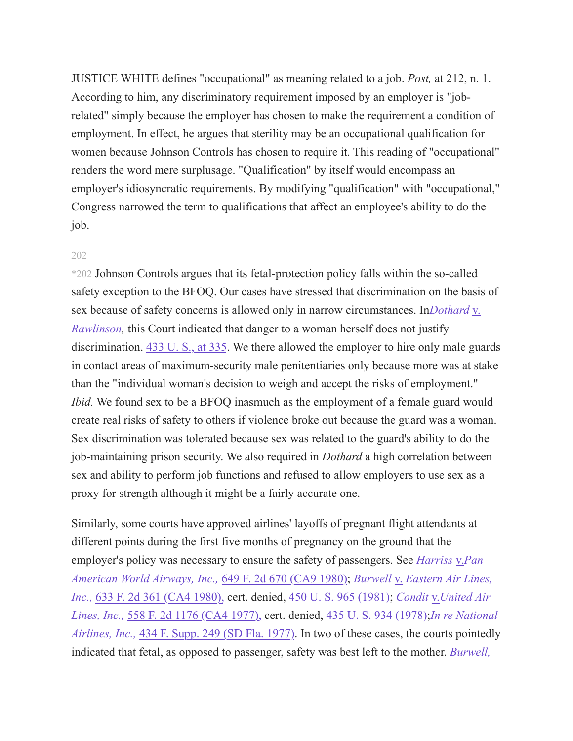JUSTICE WHITE defines "occupational" as meaning related to a job. *Post,* at 212, n. 1. According to him, any discriminatory requirement imposed by an employer is "jobrelated" simply because the employer has chosen to make the requirement a condition of employment. In effect, he argues that sterility may be an occupational qualification for women because Johnson Controls has chosen to require it. This reading of "occupational" renders the word mere surplusage. "Qualification" by itself would encompass an employer's idiosyncratic requirements. By modifying "qualification" with "occupational," Congress narrowed the term to qualifications that affect an employee's ability to do the job.

#### 202

\*202 Johnson Controls argues that its fetal-protection policy falls within the so-called safety exception to the BFOQ. Our cases have stressed that discrimination on the basis of sex because of safety concerns is allowed only in narrow circumstances. In*[Dothard](http://scholar.google.com/scholar_case?case=172357958960664770&q=Automobile+Workers+v.+Johnson+Controls&hl=en&as_sdt=2,14&scilh=0)* [v.](http://scholar.google.com/scholar_case?case=172357958960664770&q=Automobile+Workers+v.+Johnson+Controls&hl=en&as_sdt=2,14&scilh=0) *[Rawlinson](http://scholar.google.com/scholar_case?case=172357958960664770&q=Automobile+Workers+v.+Johnson+Controls&hl=en&as_sdt=2,14&scilh=0),* this Court indicated that danger to a woman herself does not justify discrimination. [433 U. S., at 335.](http://scholar.google.com/scholar_case?case=172357958960664770&q=Automobile+Workers+v.+Johnson+Controls&hl=en&as_sdt=2,14&scilh=0) We there allowed the employer to hire only male guards in contact areas of maximum-security male penitentiaries only because more was at stake than the "individual woman's decision to weigh and accept the risks of employment." *Ibid.* We found sex to be a BFOQ inasmuch as the employment of a female guard would create real risks of safety to others if violence broke out because the guard was a woman. Sex discrimination was tolerated because sex was related to the guard's ability to do the job-maintaining prison security. We also required in *Dothard* a high correlation between sex and ability to perform job functions and refused to allow employers to use sex as a proxy for strength although it might be a fairly accurate one.

Similarly, some courts have approved airlines' layoffs of pregnant flight attendants at different points during the first five months of pregnancy on the ground that the employer's policy was necessary to ensure the safety of passengers. See *[Harriss](http://scholar.google.com/scholar_case?case=999782650560933004&q=Automobile+Workers+v.+Johnson+Controls&hl=en&as_sdt=2,14&scilh=0)* [v.](http://scholar.google.com/scholar_case?case=999782650560933004&q=Automobile+Workers+v.+Johnson+Controls&hl=en&as_sdt=2,14&scilh=0)*[Pan](http://scholar.google.com/scholar_case?case=999782650560933004&q=Automobile+Workers+v.+Johnson+Controls&hl=en&as_sdt=2,14&scilh=0)  [American World Airways, Inc.,](http://scholar.google.com/scholar_case?case=999782650560933004&q=Automobile+Workers+v.+Johnson+Controls&hl=en&as_sdt=2,14&scilh=0)* [649 F. 2d 670 \(CA9 1980\)](http://scholar.google.com/scholar_case?case=999782650560933004&q=Automobile+Workers+v.+Johnson+Controls&hl=en&as_sdt=2,14&scilh=0); *[Burwell](http://scholar.google.com/scholar_case?case=12479117901061726578&q=Automobile+Workers+v.+Johnson+Controls&hl=en&as_sdt=2,14&scilh=0)* [v.](http://scholar.google.com/scholar_case?case=12479117901061726578&q=Automobile+Workers+v.+Johnson+Controls&hl=en&as_sdt=2,14&scilh=0) *[Eastern Air Lines,](http://scholar.google.com/scholar_case?case=12479117901061726578&q=Automobile+Workers+v.+Johnson+Controls&hl=en&as_sdt=2,14&scilh=0)  [Inc.,](http://scholar.google.com/scholar_case?case=12479117901061726578&q=Automobile+Workers+v.+Johnson+Controls&hl=en&as_sdt=2,14&scilh=0)* [633 F. 2d 361 \(CA4 1980\),](http://scholar.google.com/scholar_case?case=12479117901061726578&q=Automobile+Workers+v.+Johnson+Controls&hl=en&as_sdt=2,14&scilh=0) cert. denied, [450 U. S. 965 \(1981\);](http://scholar.google.com/scholar_case?about=16007218644692739390&q=Automobile+Workers+v.+Johnson+Controls&hl=en&as_sdt=2,14&scilh=0) *[Condit](http://scholar.google.com/scholar_case?case=11830801015535630962&q=Automobile+Workers+v.+Johnson+Controls&hl=en&as_sdt=2,14&scilh=0)* [v.](http://scholar.google.com/scholar_case?case=11830801015535630962&q=Automobile+Workers+v.+Johnson+Controls&hl=en&as_sdt=2,14&scilh=0)*[United Air](http://scholar.google.com/scholar_case?case=11830801015535630962&q=Automobile+Workers+v.+Johnson+Controls&hl=en&as_sdt=2,14&scilh=0)  [Lines, Inc.,](http://scholar.google.com/scholar_case?case=11830801015535630962&q=Automobile+Workers+v.+Johnson+Controls&hl=en&as_sdt=2,14&scilh=0)* [558 F. 2d 1176 \(CA4 1977\),](http://scholar.google.com/scholar_case?case=11830801015535630962&q=Automobile+Workers+v.+Johnson+Controls&hl=en&as_sdt=2,14&scilh=0) cert. denied, [435 U. S. 934 \(1978\);](http://scholar.google.com/scholar_case?about=18370499039493625648&q=Automobile+Workers+v.+Johnson+Controls&hl=en&as_sdt=2,14&scilh=0)*[In re National](http://scholar.google.com/scholar_case?case=11771542343426826128&q=Automobile+Workers+v.+Johnson+Controls&hl=en&as_sdt=2,14&scilh=0)  [Airlines, Inc.,](http://scholar.google.com/scholar_case?case=11771542343426826128&q=Automobile+Workers+v.+Johnson+Controls&hl=en&as_sdt=2,14&scilh=0)* [434 F. Supp. 249 \(SD Fla. 1977\).](http://scholar.google.com/scholar_case?case=11771542343426826128&q=Automobile+Workers+v.+Johnson+Controls&hl=en&as_sdt=2,14&scilh=0) In two of these cases, the courts pointedly indicated that fetal, as opposed to passenger, safety was best left to the mother. *[Burwell,](http://scholar.google.com/scholar_case?case=12479117901061726578&q=Automobile+Workers+v.+Johnson+Controls&hl=en&as_sdt=2,14&scilh=0)*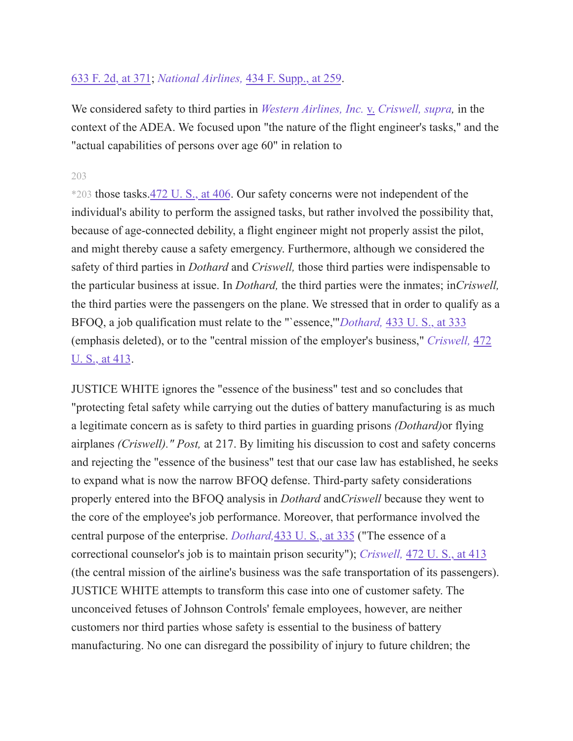## [633 F. 2d, at 371;](http://scholar.google.com/scholar_case?case=12479117901061726578&q=Automobile+Workers+v.+Johnson+Controls&hl=en&as_sdt=2,14&scilh=0) *[National Airlines,](http://scholar.google.com/scholar_case?case=11771542343426826128&q=Automobile+Workers+v.+Johnson+Controls&hl=en&as_sdt=2,14&scilh=0)* [434 F. Supp., at 259](http://scholar.google.com/scholar_case?case=11771542343426826128&q=Automobile+Workers+v.+Johnson+Controls&hl=en&as_sdt=2,14&scilh=0).

We considered safety to third parties in *[Western Airlines, Inc.](http://scholar.google.com/scholar_case?case=7232159241469569502&q=Automobile+Workers+v.+Johnson+Controls&hl=en&as_sdt=2,14&scilh=0)* [v.](http://scholar.google.com/scholar_case?case=7232159241469569502&q=Automobile+Workers+v.+Johnson+Controls&hl=en&as_sdt=2,14&scilh=0) *[Criswell, supra,](http://scholar.google.com/scholar_case?case=7232159241469569502&q=Automobile+Workers+v.+Johnson+Controls&hl=en&as_sdt=2,14&scilh=0)* in the context of the ADEA. We focused upon "the nature of the flight engineer's tasks," and the "actual capabilities of persons over age 60" in relation to

### 203

\*203 those tasks[.472 U. S., at 406.](http://scholar.google.com/scholar_case?case=7232159241469569502&q=Automobile+Workers+v.+Johnson+Controls&hl=en&as_sdt=2,14&scilh=0) Our safety concerns were not independent of the individual's ability to perform the assigned tasks, but rather involved the possibility that, because of age-connected debility, a flight engineer might not properly assist the pilot, and might thereby cause a safety emergency. Furthermore, although we considered the safety of third parties in *Dothard* and *Criswell,* those third parties were indispensable to the particular business at issue. In *Dothard,* the third parties were the inmates; in*Criswell,* the third parties were the passengers on the plane. We stressed that in order to qualify as a BFOQ, a job qualification must relate to the "`essence,'"*[Dothard,](http://scholar.google.com/scholar_case?case=172357958960664770&q=Automobile+Workers+v.+Johnson+Controls&hl=en&as_sdt=2,14&scilh=0)* [433 U. S., at 333](http://scholar.google.com/scholar_case?case=172357958960664770&q=Automobile+Workers+v.+Johnson+Controls&hl=en&as_sdt=2,14&scilh=0) (emphasis deleted), or to the "central mission of the employer's business," *[Criswell,](http://scholar.google.com/scholar_case?case=7232159241469569502&q=Automobile+Workers+v.+Johnson+Controls&hl=en&as_sdt=2,14&scilh=0)* [472](http://scholar.google.com/scholar_case?case=7232159241469569502&q=Automobile+Workers+v.+Johnson+Controls&hl=en&as_sdt=2,14&scilh=0)  [U. S., at 413](http://scholar.google.com/scholar_case?case=7232159241469569502&q=Automobile+Workers+v.+Johnson+Controls&hl=en&as_sdt=2,14&scilh=0).

JUSTICE WHITE ignores the "essence of the business" test and so concludes that "protecting fetal safety while carrying out the duties of battery manufacturing is as much a legitimate concern as is safety to third parties in guarding prisons *(Dothard)*or flying airplanes *(Criswell)." Post,* at 217. By limiting his discussion to cost and safety concerns and rejecting the "essence of the business" test that our case law has established, he seeks to expand what is now the narrow BFOQ defense. Third-party safety considerations properly entered into the BFOQ analysis in *Dothard* and*Criswell* because they went to the core of the employee's job performance. Moreover, that performance involved the central purpose of the enterprise. *[Dothard,](http://scholar.google.com/scholar_case?case=172357958960664770&q=Automobile+Workers+v.+Johnson+Controls&hl=en&as_sdt=2,14&scilh=0)*[433 U. S., at 335](http://scholar.google.com/scholar_case?case=172357958960664770&q=Automobile+Workers+v.+Johnson+Controls&hl=en&as_sdt=2,14&scilh=0) ("The essence of a correctional counselor's job is to maintain prison security"); *[Criswell,](http://scholar.google.com/scholar_case?case=7232159241469569502&q=Automobile+Workers+v.+Johnson+Controls&hl=en&as_sdt=2,14&scilh=0)* [472 U. S., at 413](http://scholar.google.com/scholar_case?case=7232159241469569502&q=Automobile+Workers+v.+Johnson+Controls&hl=en&as_sdt=2,14&scilh=0) (the central mission of the airline's business was the safe transportation of its passengers). JUSTICE WHITE attempts to transform this case into one of customer safety. The unconceived fetuses of Johnson Controls' female employees, however, are neither customers nor third parties whose safety is essential to the business of battery manufacturing. No one can disregard the possibility of injury to future children; the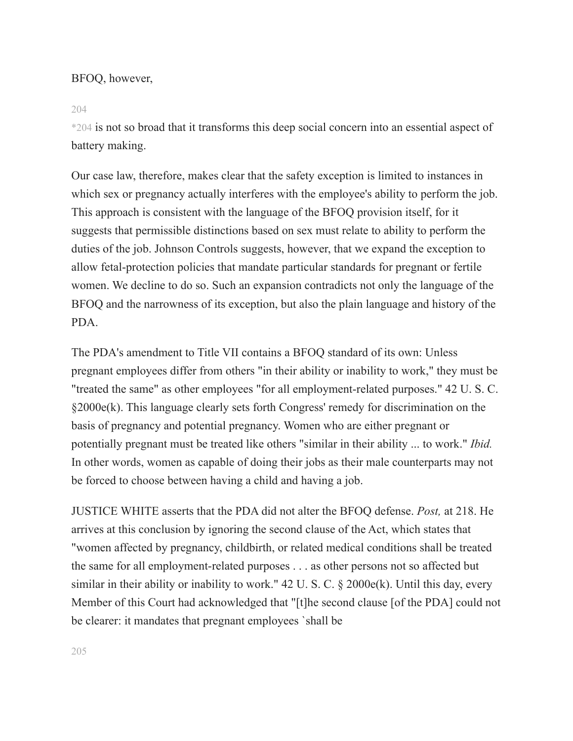## BFOQ, however,

### 204

\*204 is not so broad that it transforms this deep social concern into an essential aspect of battery making.

Our case law, therefore, makes clear that the safety exception is limited to instances in which sex or pregnancy actually interferes with the employee's ability to perform the job. This approach is consistent with the language of the BFOQ provision itself, for it suggests that permissible distinctions based on sex must relate to ability to perform the duties of the job. Johnson Controls suggests, however, that we expand the exception to allow fetal-protection policies that mandate particular standards for pregnant or fertile women. We decline to do so. Such an expansion contradicts not only the language of the BFOQ and the narrowness of its exception, but also the plain language and history of the PDA.

The PDA's amendment to Title VII contains a BFOQ standard of its own: Unless pregnant employees differ from others "in their ability or inability to work," they must be "treated the same" as other employees "for all employment-related purposes." 42 U. S. C. §2000e(k). This language clearly sets forth Congress' remedy for discrimination on the basis of pregnancy and potential pregnancy. Women who are either pregnant or potentially pregnant must be treated like others "similar in their ability ... to work." *Ibid.* In other words, women as capable of doing their jobs as their male counterparts may not be forced to choose between having a child and having a job.

JUSTICE WHITE asserts that the PDA did not alter the BFOQ defense. *Post,* at 218. He arrives at this conclusion by ignoring the second clause of the Act, which states that "women affected by pregnancy, childbirth, or related medical conditions shall be treated the same for all employment-related purposes . . . as other persons not so affected but similar in their ability or inability to work."  $42 \text{ U}$ . S. C.  $\S$  2000e(k). Until this day, every Member of this Court had acknowledged that "[t]he second clause [of the PDA] could not be clearer: it mandates that pregnant employees `shall be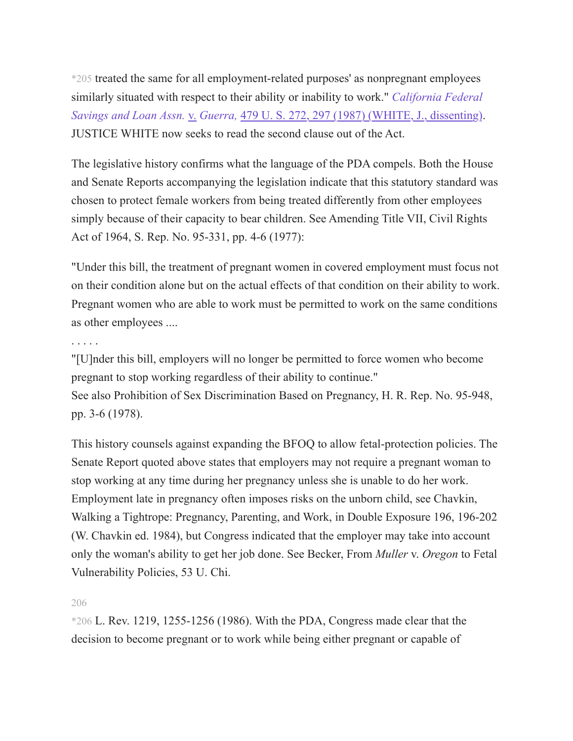\*205 treated the same for all employment-related purposes' as nonpregnant employees similarly situated with respect to their ability or inability to work." *[California Federal](http://scholar.google.com/scholar_case?case=16446221120081599738&q=Automobile+Workers+v.+Johnson+Controls&hl=en&as_sdt=2,14&scilh=0)  [Savings and Loan Assn.](http://scholar.google.com/scholar_case?case=16446221120081599738&q=Automobile+Workers+v.+Johnson+Controls&hl=en&as_sdt=2,14&scilh=0)* [v.](http://scholar.google.com/scholar_case?case=16446221120081599738&q=Automobile+Workers+v.+Johnson+Controls&hl=en&as_sdt=2,14&scilh=0) *[Guerra,](http://scholar.google.com/scholar_case?case=16446221120081599738&q=Automobile+Workers+v.+Johnson+Controls&hl=en&as_sdt=2,14&scilh=0)* [479 U. S. 272, 297 \(1987\) \(WHITE, J., dissenting\).](http://scholar.google.com/scholar_case?case=16446221120081599738&q=Automobile+Workers+v.+Johnson+Controls&hl=en&as_sdt=2,14&scilh=0) JUSTICE WHITE now seeks to read the second clause out of the Act.

The legislative history confirms what the language of the PDA compels. Both the House and Senate Reports accompanying the legislation indicate that this statutory standard was chosen to protect female workers from being treated differently from other employees simply because of their capacity to bear children. See Amending Title VII, Civil Rights Act of 1964, S. Rep. No. 95-331, pp. 4-6 (1977):

"Under this bill, the treatment of pregnant women in covered employment must focus not on their condition alone but on the actual effects of that condition on their ability to work. Pregnant women who are able to work must be permitted to work on the same conditions as other employees ....

## . . . . .

"[U]nder this bill, employers will no longer be permitted to force women who become pregnant to stop working regardless of their ability to continue." See also Prohibition of Sex Discrimination Based on Pregnancy, H. R. Rep. No. 95-948,

### pp. 3-6 (1978).

This history counsels against expanding the BFOQ to allow fetal-protection policies. The Senate Report quoted above states that employers may not require a pregnant woman to stop working at any time during her pregnancy unless she is unable to do her work. Employment late in pregnancy often imposes risks on the unborn child, see Chavkin, Walking a Tightrope: Pregnancy, Parenting, and Work, in Double Exposure 196, 196-202 (W. Chavkin ed. 1984), but Congress indicated that the employer may take into account only the woman's ability to get her job done. See Becker, From *Muller* v. *Oregon* to Fetal Vulnerability Policies, 53 U. Chi.

### 206

 $*206$  L. Rev. 1219, 1255-1256 (1986). With the PDA, Congress made clear that the decision to become pregnant or to work while being either pregnant or capable of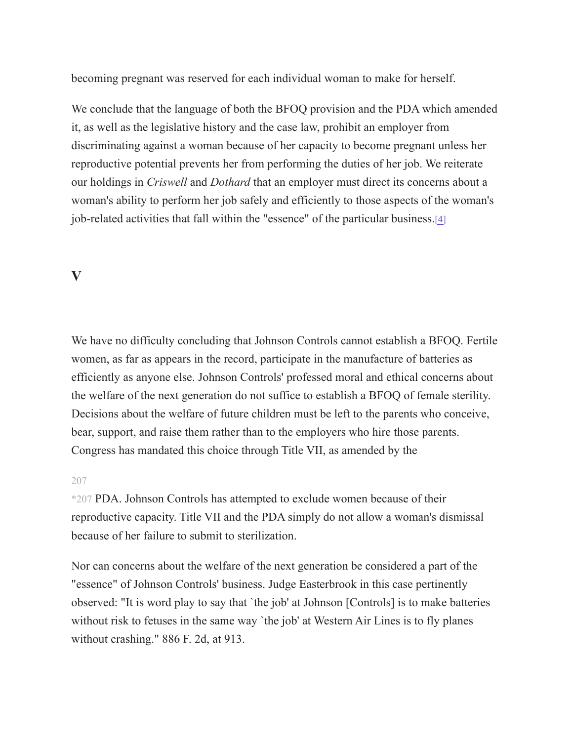becoming pregnant was reserved for each individual woman to make for herself.

We conclude that the language of both the BFOQ provision and the PDA which amended it, as well as the legislative history and the case law, prohibit an employer from discriminating against a woman because of her capacity to become pregnant unless her reproductive potential prevents her from performing the duties of her job. We reiterate our holdings in *Criswell* and *Dothard* that an employer must direct its concerns about a woman's ability to perform her job safely and efficiently to those aspects of the woman's job-related activities that fall within the "essence" of the particular business.[\[4\]](http://scholar.google.com/scholar_case?q=Automobile+Workers+v.+Johnson+Controls&hl=en&as_sdt=2,14&case=16132234154136361578&scilh=0#%5B5%5D)

## **V**

We have no difficulty concluding that Johnson Controls cannot establish a BFOQ. Fertile women, as far as appears in the record, participate in the manufacture of batteries as efficiently as anyone else. Johnson Controls' professed moral and ethical concerns about the welfare of the next generation do not suffice to establish a BFOQ of female sterility. Decisions about the welfare of future children must be left to the parents who conceive, bear, support, and raise them rather than to the employers who hire those parents. Congress has mandated this choice through Title VII, as amended by the

### 207

\*207 PDA. Johnson Controls has attempted to exclude women because of their reproductive capacity. Title VII and the PDA simply do not allow a woman's dismissal because of her failure to submit to sterilization.

Nor can concerns about the welfare of the next generation be considered a part of the "essence" of Johnson Controls' business. Judge Easterbrook in this case pertinently observed: "It is word play to say that `the job' at Johnson [Controls] is to make batteries without risk to fetuses in the same way 'the job' at Western Air Lines is to fly planes without crashing." 886 F. 2d, at 913.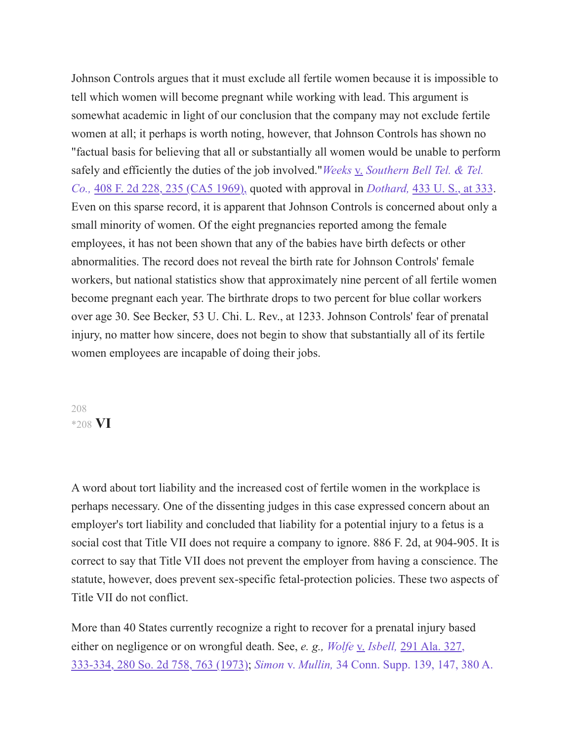Johnson Controls argues that it must exclude all fertile women because it is impossible to tell which women will become pregnant while working with lead. This argument is somewhat academic in light of our conclusion that the company may not exclude fertile women at all; it perhaps is worth noting, however, that Johnson Controls has shown no "factual basis for believing that all or substantially all women would be unable to perform safely and efficiently the duties of the job involved."*[Weeks](http://scholar.google.com/scholar_case?case=15041508986020128689&q=Automobile+Workers+v.+Johnson+Controls&hl=en&as_sdt=2,14&scilh=0)* [v.](http://scholar.google.com/scholar_case?case=15041508986020128689&q=Automobile+Workers+v.+Johnson+Controls&hl=en&as_sdt=2,14&scilh=0) *[Southern Bell Tel. & Tel.](http://scholar.google.com/scholar_case?case=15041508986020128689&q=Automobile+Workers+v.+Johnson+Controls&hl=en&as_sdt=2,14&scilh=0)  [Co.,](http://scholar.google.com/scholar_case?case=15041508986020128689&q=Automobile+Workers+v.+Johnson+Controls&hl=en&as_sdt=2,14&scilh=0)* [408 F. 2d 228, 235 \(CA5 1969\),](http://scholar.google.com/scholar_case?case=15041508986020128689&q=Automobile+Workers+v.+Johnson+Controls&hl=en&as_sdt=2,14&scilh=0) quoted with approval in *[Dothard,](http://scholar.google.com/scholar_case?case=172357958960664770&q=Automobile+Workers+v.+Johnson+Controls&hl=en&as_sdt=2,14&scilh=0)* [433 U. S., at 333](http://scholar.google.com/scholar_case?case=172357958960664770&q=Automobile+Workers+v.+Johnson+Controls&hl=en&as_sdt=2,14&scilh=0). Even on this sparse record, it is apparent that Johnson Controls is concerned about only a small minority of women. Of the eight pregnancies reported among the female employees, it has not been shown that any of the babies have birth defects or other abnormalities. The record does not reveal the birth rate for Johnson Controls' female workers, but national statistics show that approximately nine percent of all fertile women become pregnant each year. The birthrate drops to two percent for blue collar workers over age 30. See Becker, 53 U. Chi. L. Rev., at 1233. Johnson Controls' fear of prenatal injury, no matter how sincere, does not begin to show that substantially all of its fertile women employees are incapable of doing their jobs.

208 \*208 **VI**

A word about tort liability and the increased cost of fertile women in the workplace is perhaps necessary. One of the dissenting judges in this case expressed concern about an employer's tort liability and concluded that liability for a potential injury to a fetus is a social cost that Title VII does not require a company to ignore. 886 F. 2d, at 904-905. It is correct to say that Title VII does not prevent the employer from having a conscience. The statute, however, does prevent sex-specific fetal-protection policies. These two aspects of Title VII do not conflict.

More than 40 States currently recognize a right to recover for a prenatal injury based either on negligence or on wrongful death. See, *e. g., [Wolfe](http://scholar.google.com/scholar_case?case=7791143857723549483&q=Automobile+Workers+v.+Johnson+Controls&hl=en&as_sdt=2,14&scilh=0)* [v.](http://scholar.google.com/scholar_case?case=7791143857723549483&q=Automobile+Workers+v.+Johnson+Controls&hl=en&as_sdt=2,14&scilh=0) *[Isbell,](http://scholar.google.com/scholar_case?case=7791143857723549483&q=Automobile+Workers+v.+Johnson+Controls&hl=en&as_sdt=2,14&scilh=0)* [291 Ala. 327,](http://scholar.google.com/scholar_case?case=7791143857723549483&q=Automobile+Workers+v.+Johnson+Controls&hl=en&as_sdt=2,14&scilh=0)  [333-334, 280 So. 2d 758, 763 \(1973\)](http://scholar.google.com/scholar_case?case=7791143857723549483&q=Automobile+Workers+v.+Johnson+Controls&hl=en&as_sdt=2,14&scilh=0); *[Simon](http://scholar.google.com/scholar_case?about=374757253172866798&q=Automobile+Workers+v.+Johnson+Controls&hl=en&as_sdt=2,14&scilh=0)* [v.](http://scholar.google.com/scholar_case?about=374757253172866798&q=Automobile+Workers+v.+Johnson+Controls&hl=en&as_sdt=2,14&scilh=0) *[Mullin,](http://scholar.google.com/scholar_case?about=374757253172866798&q=Automobile+Workers+v.+Johnson+Controls&hl=en&as_sdt=2,14&scilh=0)* [34 Conn. Supp. 139, 147, 380 A.](http://scholar.google.com/scholar_case?about=374757253172866798&q=Automobile+Workers+v.+Johnson+Controls&hl=en&as_sdt=2,14&scilh=0)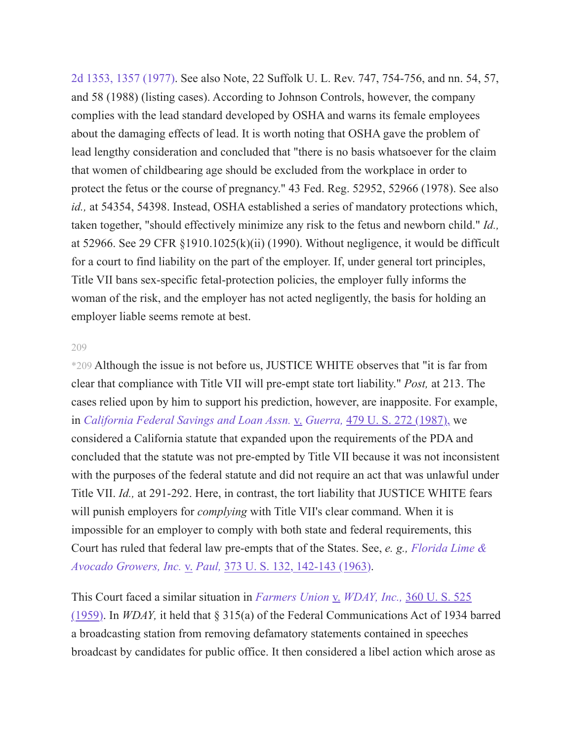[2d 1353, 1357 \(1977\).](http://scholar.google.com/scholar_case?about=374757253172866798&q=Automobile+Workers+v.+Johnson+Controls&hl=en&as_sdt=2,14&scilh=0) See also Note, 22 Suffolk U. L. Rev. 747, 754-756, and nn. 54, 57, and 58 (1988) (listing cases). According to Johnson Controls, however, the company complies with the lead standard developed by OSHA and warns its female employees about the damaging effects of lead. It is worth noting that OSHA gave the problem of lead lengthy consideration and concluded that "there is no basis whatsoever for the claim that women of childbearing age should be excluded from the workplace in order to protect the fetus or the course of pregnancy." 43 Fed. Reg. 52952, 52966 (1978). See also *id.,* at 54354, 54398. Instead, OSHA established a series of mandatory protections which, taken together, "should effectively minimize any risk to the fetus and newborn child." *Id.,* at 52966. See 29 CFR §1910.1025(k)(ii) (1990). Without negligence, it would be difficult for a court to find liability on the part of the employer. If, under general tort principles, Title VII bans sex-specific fetal-protection policies, the employer fully informs the woman of the risk, and the employer has not acted negligently, the basis for holding an employer liable seems remote at best.

#### 209

\*209 Although the issue is not before us, JUSTICE WHITE observes that "it is far from clear that compliance with Title VII will pre-empt state tort liability." *Post,* at 213. The cases relied upon by him to support his prediction, however, are inapposite. For example, in *[California Federal Savings and Loan Assn.](http://scholar.google.com/scholar_case?case=16446221120081599738&q=Automobile+Workers+v.+Johnson+Controls&hl=en&as_sdt=2,14&scilh=0)* [v.](http://scholar.google.com/scholar_case?case=16446221120081599738&q=Automobile+Workers+v.+Johnson+Controls&hl=en&as_sdt=2,14&scilh=0) *[Guerra,](http://scholar.google.com/scholar_case?case=16446221120081599738&q=Automobile+Workers+v.+Johnson+Controls&hl=en&as_sdt=2,14&scilh=0)* [479 U. S. 272 \(1987\),](http://scholar.google.com/scholar_case?case=16446221120081599738&q=Automobile+Workers+v.+Johnson+Controls&hl=en&as_sdt=2,14&scilh=0) we considered a California statute that expanded upon the requirements of the PDA and concluded that the statute was not pre-empted by Title VII because it was not inconsistent with the purposes of the federal statute and did not require an act that was unlawful under Title VII. *Id.,* at 291-292. Here, in contrast, the tort liability that JUSTICE WHITE fears will punish employers for *complying* with Title VII's clear command. When it is impossible for an employer to comply with both state and federal requirements, this Court has ruled that federal law pre-empts that of the States. See, *e. g., [Florida Lime &](http://scholar.google.com/scholar_case?case=3306838635547062085&q=Automobile+Workers+v.+Johnson+Controls&hl=en&as_sdt=2,14&scilh=0)  [Avocado Growers, Inc.](http://scholar.google.com/scholar_case?case=3306838635547062085&q=Automobile+Workers+v.+Johnson+Controls&hl=en&as_sdt=2,14&scilh=0)* [v.](http://scholar.google.com/scholar_case?case=3306838635547062085&q=Automobile+Workers+v.+Johnson+Controls&hl=en&as_sdt=2,14&scilh=0) *[Paul,](http://scholar.google.com/scholar_case?case=3306838635547062085&q=Automobile+Workers+v.+Johnson+Controls&hl=en&as_sdt=2,14&scilh=0)* [373 U. S. 132, 142-143 \(1963\)](http://scholar.google.com/scholar_case?case=3306838635547062085&q=Automobile+Workers+v.+Johnson+Controls&hl=en&as_sdt=2,14&scilh=0).

This Court faced a similar situation in *[Farmers Union](http://scholar.google.com/scholar_case?case=1533881163621238851&q=Automobile+Workers+v.+Johnson+Controls&hl=en&as_sdt=2,14&scilh=0)* [v.](http://scholar.google.com/scholar_case?case=1533881163621238851&q=Automobile+Workers+v.+Johnson+Controls&hl=en&as_sdt=2,14&scilh=0) *[WDAY, Inc.,](http://scholar.google.com/scholar_case?case=1533881163621238851&q=Automobile+Workers+v.+Johnson+Controls&hl=en&as_sdt=2,14&scilh=0)* [360 U. S. 525](http://scholar.google.com/scholar_case?case=1533881163621238851&q=Automobile+Workers+v.+Johnson+Controls&hl=en&as_sdt=2,14&scilh=0)  [\(1959\)](http://scholar.google.com/scholar_case?case=1533881163621238851&q=Automobile+Workers+v.+Johnson+Controls&hl=en&as_sdt=2,14&scilh=0). In *WDAY,* it held that § 315(a) of the Federal Communications Act of 1934 barred a broadcasting station from removing defamatory statements contained in speeches broadcast by candidates for public office. It then considered a libel action which arose as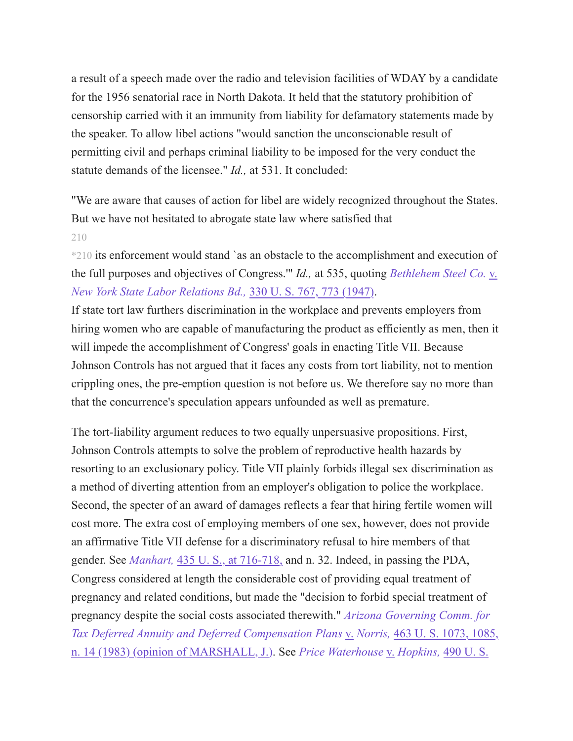a result of a speech made over the radio and television facilities of WDAY by a candidate for the 1956 senatorial race in North Dakota. It held that the statutory prohibition of censorship carried with it an immunity from liability for defamatory statements made by the speaker. To allow libel actions "would sanction the unconscionable result of permitting civil and perhaps criminal liability to be imposed for the very conduct the statute demands of the licensee." *Id.,* at 531. It concluded:

"We are aware that causes of action for libel are widely recognized throughout the States. But we have not hesitated to abrogate state law where satisfied that 210

\*210 its enforcement would stand `as an obstacle to the accomplishment and execution of the full purposes and objectives of Congress.'" *Id.,* at 535, quoting *[Bethlehem Steel Co.](http://scholar.google.com/scholar_case?case=16172676610352584637&q=Automobile+Workers+v.+Johnson+Controls&hl=en&as_sdt=2,14&scilh=0)* [v.](http://scholar.google.com/scholar_case?case=16172676610352584637&q=Automobile+Workers+v.+Johnson+Controls&hl=en&as_sdt=2,14&scilh=0) *[New York State Labor Relations Bd.,](http://scholar.google.com/scholar_case?case=16172676610352584637&q=Automobile+Workers+v.+Johnson+Controls&hl=en&as_sdt=2,14&scilh=0)* [330 U. S. 767, 773 \(1947\).](http://scholar.google.com/scholar_case?case=16172676610352584637&q=Automobile+Workers+v.+Johnson+Controls&hl=en&as_sdt=2,14&scilh=0)

If state tort law furthers discrimination in the workplace and prevents employers from hiring women who are capable of manufacturing the product as efficiently as men, then it will impede the accomplishment of Congress' goals in enacting Title VII. Because Johnson Controls has not argued that it faces any costs from tort liability, not to mention crippling ones, the pre-emption question is not before us. We therefore say no more than that the concurrence's speculation appears unfounded as well as premature.

The tort-liability argument reduces to two equally unpersuasive propositions. First, Johnson Controls attempts to solve the problem of reproductive health hazards by resorting to an exclusionary policy. Title VII plainly forbids illegal sex discrimination as a method of diverting attention from an employer's obligation to police the workplace. Second, the specter of an award of damages reflects a fear that hiring fertile women will cost more. The extra cost of employing members of one sex, however, does not provide an affirmative Title VII defense for a discriminatory refusal to hire members of that gender. See *[Manhart,](http://scholar.google.com/scholar_case?case=10164337249526753874&q=Automobile+Workers+v.+Johnson+Controls&hl=en&as_sdt=2,14&scilh=0)* [435 U. S., at 716-718,](http://scholar.google.com/scholar_case?case=10164337249526753874&q=Automobile+Workers+v.+Johnson+Controls&hl=en&as_sdt=2,14&scilh=0) and n. 32. Indeed, in passing the PDA, Congress considered at length the considerable cost of providing equal treatment of pregnancy and related conditions, but made the "decision to forbid special treatment of pregnancy despite the social costs associated therewith." *[Arizona Governing Comm. for](http://scholar.google.com/scholar_case?case=7404389092415528978&q=Automobile+Workers+v.+Johnson+Controls&hl=en&as_sdt=2,14&scilh=0)  [Tax Deferred Annuity and Deferred Compensation Plans](http://scholar.google.com/scholar_case?case=7404389092415528978&q=Automobile+Workers+v.+Johnson+Controls&hl=en&as_sdt=2,14&scilh=0)* [v.](http://scholar.google.com/scholar_case?case=7404389092415528978&q=Automobile+Workers+v.+Johnson+Controls&hl=en&as_sdt=2,14&scilh=0) *[Norris,](http://scholar.google.com/scholar_case?case=7404389092415528978&q=Automobile+Workers+v.+Johnson+Controls&hl=en&as_sdt=2,14&scilh=0)* [463 U. S. 1073, 1085,](http://scholar.google.com/scholar_case?case=7404389092415528978&q=Automobile+Workers+v.+Johnson+Controls&hl=en&as_sdt=2,14&scilh=0)  [n. 14 \(1983\) \(opinion of MARSHALL, J.\)](http://scholar.google.com/scholar_case?case=7404389092415528978&q=Automobile+Workers+v.+Johnson+Controls&hl=en&as_sdt=2,14&scilh=0). See *[Price Waterhouse](http://scholar.google.com/scholar_case?case=780752418377134939&q=Automobile+Workers+v.+Johnson+Controls&hl=en&as_sdt=2,14&scilh=0)* [v.](http://scholar.google.com/scholar_case?case=780752418377134939&q=Automobile+Workers+v.+Johnson+Controls&hl=en&as_sdt=2,14&scilh=0) *[Hopkins,](http://scholar.google.com/scholar_case?case=780752418377134939&q=Automobile+Workers+v.+Johnson+Controls&hl=en&as_sdt=2,14&scilh=0)* [490 U. S.](http://scholar.google.com/scholar_case?case=780752418377134939&q=Automobile+Workers+v.+Johnson+Controls&hl=en&as_sdt=2,14&scilh=0)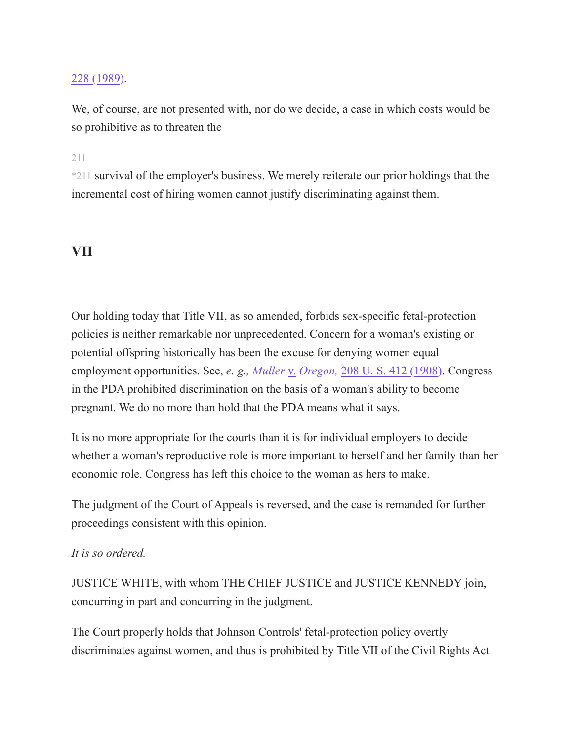## [228 \(1989\).](http://scholar.google.com/scholar_case?case=780752418377134939&q=Automobile+Workers+v.+Johnson+Controls&hl=en&as_sdt=2,14&scilh=0)

We, of course, are not presented with, nor do we decide, a case in which costs would be so prohibitive as to threaten the

### 211

\*211 survival of the employer's business. We merely reiterate our prior holdings that the incremental cost of hiring women cannot justify discriminating against them.

## **VII**

Our holding today that Title VII, as so amended, forbids sex-specific fetal-protection policies is neither remarkable nor unprecedented. Concern for a woman's existing or potential offspring historically has been the excuse for denying women equal employment opportunities. See, *e. g., [Muller](http://scholar.google.com/scholar_case?case=3938894951846236275&q=Automobile+Workers+v.+Johnson+Controls&hl=en&as_sdt=2,14&scilh=0)* [v.](http://scholar.google.com/scholar_case?case=3938894951846236275&q=Automobile+Workers+v.+Johnson+Controls&hl=en&as_sdt=2,14&scilh=0) *[Oregon,](http://scholar.google.com/scholar_case?case=3938894951846236275&q=Automobile+Workers+v.+Johnson+Controls&hl=en&as_sdt=2,14&scilh=0)* [208 U. S. 412 \(1908\)](http://scholar.google.com/scholar_case?case=3938894951846236275&q=Automobile+Workers+v.+Johnson+Controls&hl=en&as_sdt=2,14&scilh=0). Congress in the PDA prohibited discrimination on the basis of a woman's ability to become pregnant. We do no more than hold that the PDA means what it says.

It is no more appropriate for the courts than it is for individual employers to decide whether a woman's reproductive role is more important to herself and her family than her economic role. Congress has left this choice to the woman as hers to make.

The judgment of the Court of Appeals is reversed, and the case is remanded for further proceedings consistent with this opinion.

## *It is so ordered.*

JUSTICE WHITE, with whom THE CHIEF JUSTICE and JUSTICE KENNEDY join, concurring in part and concurring in the judgment.

The Court properly holds that Johnson Controls' fetal-protection policy overtly discriminates against women, and thus is prohibited by Title VII of the Civil Rights Act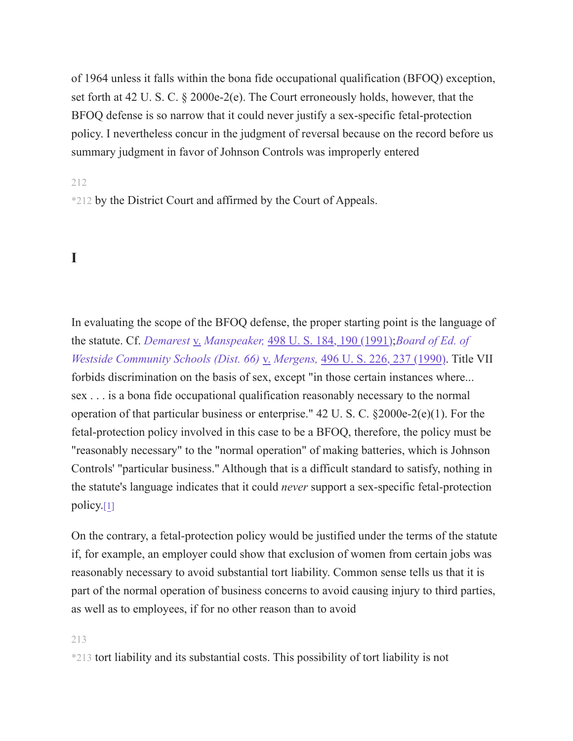of 1964 unless it falls within the bona fide occupational qualification (BFOQ) exception, set forth at 42 U. S. C. § 2000e-2(e). The Court erroneously holds, however, that the BFOQ defense is so narrow that it could never justify a sex-specific fetal-protection policy. I nevertheless concur in the judgment of reversal because on the record before us summary judgment in favor of Johnson Controls was improperly entered

### 212

\*212 by the District Court and affirmed by the Court of Appeals.

# **I**

In evaluating the scope of the BFOQ defense, the proper starting point is the language of the statute. Cf. *[Demarest](http://scholar.google.com/scholar_case?case=17704008587681229369&q=Automobile+Workers+v.+Johnson+Controls&hl=en&as_sdt=2,14&scilh=0)* [v.](http://scholar.google.com/scholar_case?case=17704008587681229369&q=Automobile+Workers+v.+Johnson+Controls&hl=en&as_sdt=2,14&scilh=0) *[Manspeaker,](http://scholar.google.com/scholar_case?case=17704008587681229369&q=Automobile+Workers+v.+Johnson+Controls&hl=en&as_sdt=2,14&scilh=0)* [498 U. S. 184, 190 \(1991\);](http://scholar.google.com/scholar_case?case=17704008587681229369&q=Automobile+Workers+v.+Johnson+Controls&hl=en&as_sdt=2,14&scilh=0)*[Board of Ed. of](http://scholar.google.com/scholar_case?case=14236538970451540500&q=Automobile+Workers+v.+Johnson+Controls&hl=en&as_sdt=2,14&scilh=0)  [Westside Community Schools \(Dist. 66\)](http://scholar.google.com/scholar_case?case=14236538970451540500&q=Automobile+Workers+v.+Johnson+Controls&hl=en&as_sdt=2,14&scilh=0)* [v.](http://scholar.google.com/scholar_case?case=14236538970451540500&q=Automobile+Workers+v.+Johnson+Controls&hl=en&as_sdt=2,14&scilh=0) *[Mergens,](http://scholar.google.com/scholar_case?case=14236538970451540500&q=Automobile+Workers+v.+Johnson+Controls&hl=en&as_sdt=2,14&scilh=0)* [496 U. S. 226, 237 \(1990\).](http://scholar.google.com/scholar_case?case=14236538970451540500&q=Automobile+Workers+v.+Johnson+Controls&hl=en&as_sdt=2,14&scilh=0) Title VII forbids discrimination on the basis of sex, except "in those certain instances where... sex . . . is a bona fide occupational qualification reasonably necessary to the normal operation of that particular business or enterprise." 42 U. S. C. §2000e-2(e)(1). For the fetal-protection policy involved in this case to be a BFOQ, therefore, the policy must be "reasonably necessary" to the "normal operation" of making batteries, which is Johnson Controls' "particular business." Although that is a difficult standard to satisfy, nothing in the statute's language indicates that it could *never* support a sex-specific fetal-protection policy.[\[1\]](http://scholar.google.com/scholar_case?q=Automobile+Workers+v.+Johnson+Controls&hl=en&as_sdt=2,14&case=16132234154136361578&scilh=0#%5B6%5D)

On the contrary, a fetal-protection policy would be justified under the terms of the statute if, for example, an employer could show that exclusion of women from certain jobs was reasonably necessary to avoid substantial tort liability. Common sense tells us that it is part of the normal operation of business concerns to avoid causing injury to third parties, as well as to employees, if for no other reason than to avoid

### 213

\*213 tort liability and its substantial costs. This possibility of tort liability is not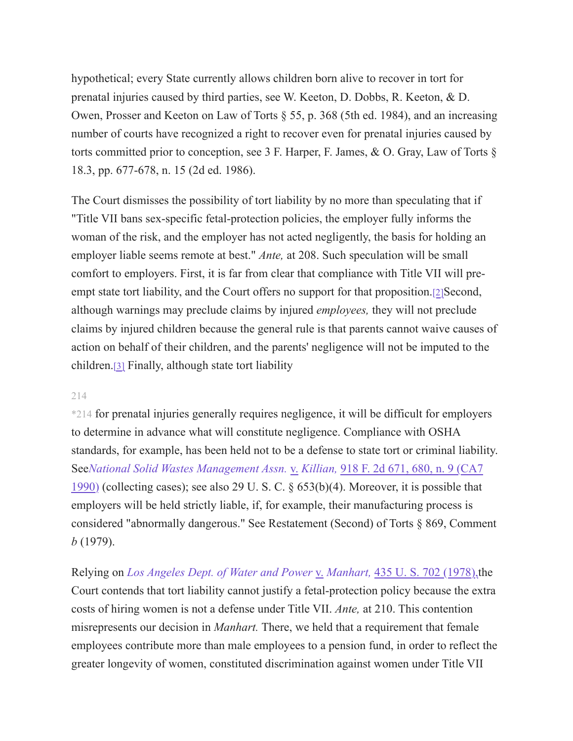hypothetical; every State currently allows children born alive to recover in tort for prenatal injuries caused by third parties, see W. Keeton, D. Dobbs, R. Keeton, & D. Owen, Prosser and Keeton on Law of Torts § 55, p. 368 (5th ed. 1984), and an increasing number of courts have recognized a right to recover even for prenatal injuries caused by torts committed prior to conception, see 3 F. Harper, F. James, & O. Gray, Law of Torts § 18.3, pp. 677-678, n. 15 (2d ed. 1986).

The Court dismisses the possibility of tort liability by no more than speculating that if "Title VII bans sex-specific fetal-protection policies, the employer fully informs the woman of the risk, and the employer has not acted negligently, the basis for holding an employer liable seems remote at best." *Ante,* at 208. Such speculation will be small comfort to employers. First, it is far from clear that compliance with Title VII will preempt state tort liability, and the Court offers no support for that proposition.<sup>[2]</sup>Second, although warnings may preclude claims by injured *employees,* they will not preclude claims by injured children because the general rule is that parents cannot waive causes of action on behalf of their children, and the parents' negligence will not be imputed to the children[.\[3\]](http://scholar.google.com/scholar_case?q=Automobile+Workers+v.+Johnson+Controls&hl=en&as_sdt=2,14&case=16132234154136361578&scilh=0#%5B8%5D) Finally, although state tort liability

### 214

\*214 for prenatal injuries generally requires negligence, it will be difficult for employers to determine in advance what will constitute negligence. Compliance with OSHA standards, for example, has been held not to be a defense to state tort or criminal liability. See*[National Solid Wastes Management Assn.](http://scholar.google.com/scholar_case?case=13755370477829492323&q=Automobile+Workers+v.+Johnson+Controls&hl=en&as_sdt=2,14&scilh=0)* [v.](http://scholar.google.com/scholar_case?case=13755370477829492323&q=Automobile+Workers+v.+Johnson+Controls&hl=en&as_sdt=2,14&scilh=0) *[Killian,](http://scholar.google.com/scholar_case?case=13755370477829492323&q=Automobile+Workers+v.+Johnson+Controls&hl=en&as_sdt=2,14&scilh=0)* [918 F. 2d 671, 680, n. 9 \(CA7](http://scholar.google.com/scholar_case?case=13755370477829492323&q=Automobile+Workers+v.+Johnson+Controls&hl=en&as_sdt=2,14&scilh=0)  [1990\)](http://scholar.google.com/scholar_case?case=13755370477829492323&q=Automobile+Workers+v.+Johnson+Controls&hl=en&as_sdt=2,14&scilh=0) (collecting cases); see also 29 U. S. C. § 653(b)(4). Moreover, it is possible that employers will be held strictly liable, if, for example, their manufacturing process is considered "abnormally dangerous." See Restatement (Second) of Torts § 869, Comment *b* (1979).

Relying on *[Los Angeles Dept. of Water and Power](http://scholar.google.com/scholar_case?case=10164337249526753874&q=Automobile+Workers+v.+Johnson+Controls&hl=en&as_sdt=2,14&scilh=0)* [v.](http://scholar.google.com/scholar_case?case=10164337249526753874&q=Automobile+Workers+v.+Johnson+Controls&hl=en&as_sdt=2,14&scilh=0) *[Manhart,](http://scholar.google.com/scholar_case?case=10164337249526753874&q=Automobile+Workers+v.+Johnson+Controls&hl=en&as_sdt=2,14&scilh=0)* [435 U. S. 702 \(1978\),](http://scholar.google.com/scholar_case?case=10164337249526753874&q=Automobile+Workers+v.+Johnson+Controls&hl=en&as_sdt=2,14&scilh=0)the Court contends that tort liability cannot justify a fetal-protection policy because the extra costs of hiring women is not a defense under Title VII. *Ante,* at 210. This contention misrepresents our decision in *Manhart.* There, we held that a requirement that female employees contribute more than male employees to a pension fund, in order to reflect the greater longevity of women, constituted discrimination against women under Title VII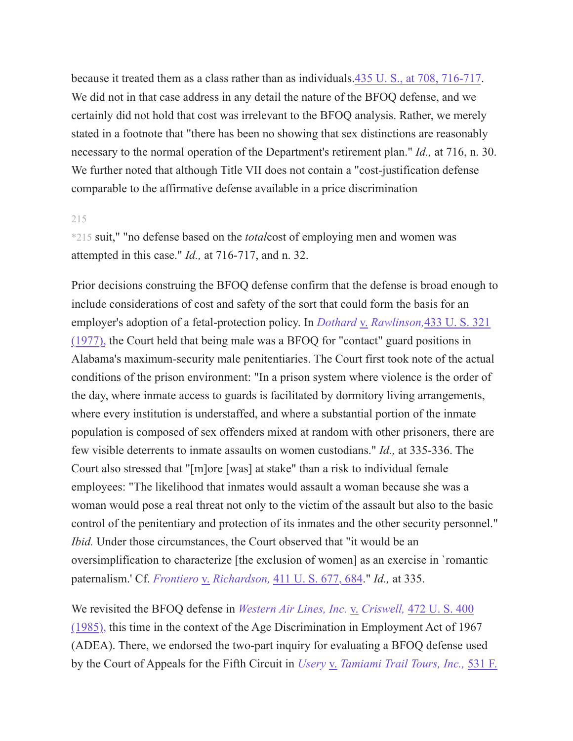because it treated them as a class rather than as individuals[.435 U. S., at 708, 716-717](http://scholar.google.com/scholar_case?case=10164337249526753874&q=Automobile+Workers+v.+Johnson+Controls&hl=en&as_sdt=2,14&scilh=0). We did not in that case address in any detail the nature of the BFOQ defense, and we certainly did not hold that cost was irrelevant to the BFOQ analysis. Rather, we merely stated in a footnote that "there has been no showing that sex distinctions are reasonably necessary to the normal operation of the Department's retirement plan." *Id.,* at 716, n. 30. We further noted that although Title VII does not contain a "cost-justification defense comparable to the affirmative defense available in a price discrimination

#### 215

\*215 suit," "no defense based on the *total*cost of employing men and women was attempted in this case." *Id.,* at 716-717, and n. 32.

Prior decisions construing the BFOQ defense confirm that the defense is broad enough to include considerations of cost and safety of the sort that could form the basis for an employer's adoption of a fetal-protection policy. In *[Dothard](http://scholar.google.com/scholar_case?case=172357958960664770&q=Automobile+Workers+v.+Johnson+Controls&hl=en&as_sdt=2,14&scilh=0)* [v.](http://scholar.google.com/scholar_case?case=172357958960664770&q=Automobile+Workers+v.+Johnson+Controls&hl=en&as_sdt=2,14&scilh=0) *[Rawlinson,](http://scholar.google.com/scholar_case?case=172357958960664770&q=Automobile+Workers+v.+Johnson+Controls&hl=en&as_sdt=2,14&scilh=0)*[433 U. S. 321](http://scholar.google.com/scholar_case?case=172357958960664770&q=Automobile+Workers+v.+Johnson+Controls&hl=en&as_sdt=2,14&scilh=0)  [\(1977\),](http://scholar.google.com/scholar_case?case=172357958960664770&q=Automobile+Workers+v.+Johnson+Controls&hl=en&as_sdt=2,14&scilh=0) the Court held that being male was a BFOQ for "contact" guard positions in Alabama's maximum-security male penitentiaries. The Court first took note of the actual conditions of the prison environment: "In a prison system where violence is the order of the day, where inmate access to guards is facilitated by dormitory living arrangements, where every institution is understaffed, and where a substantial portion of the inmate population is composed of sex offenders mixed at random with other prisoners, there are few visible deterrents to inmate assaults on women custodians." *Id.,* at 335-336. The Court also stressed that "[m]ore [was] at stake" than a risk to individual female employees: "The likelihood that inmates would assault a woman because she was a woman would pose a real threat not only to the victim of the assault but also to the basic control of the penitentiary and protection of its inmates and the other security personnel." *Ibid.* Under those circumstances, the Court observed that "it would be an oversimplification to characterize [the exclusion of women] as an exercise in `romantic paternalism.' Cf. *[Frontiero](http://scholar.google.com/scholar_case?case=14820310635656011394&q=Automobile+Workers+v.+Johnson+Controls&hl=en&as_sdt=2,14&scilh=0)* [v.](http://scholar.google.com/scholar_case?case=14820310635656011394&q=Automobile+Workers+v.+Johnson+Controls&hl=en&as_sdt=2,14&scilh=0) *[Richardson,](http://scholar.google.com/scholar_case?case=14820310635656011394&q=Automobile+Workers+v.+Johnson+Controls&hl=en&as_sdt=2,14&scilh=0)* [411 U. S. 677, 684.](http://scholar.google.com/scholar_case?case=14820310635656011394&q=Automobile+Workers+v.+Johnson+Controls&hl=en&as_sdt=2,14&scilh=0)" *Id.,* at 335.

We revisited the BFOQ defense in *[Western Air Lines, Inc.](http://scholar.google.com/scholar_case?case=7232159241469569502&q=Automobile+Workers+v.+Johnson+Controls&hl=en&as_sdt=2,14&scilh=0)* [v.](http://scholar.google.com/scholar_case?case=7232159241469569502&q=Automobile+Workers+v.+Johnson+Controls&hl=en&as_sdt=2,14&scilh=0) *[Criswell,](http://scholar.google.com/scholar_case?case=7232159241469569502&q=Automobile+Workers+v.+Johnson+Controls&hl=en&as_sdt=2,14&scilh=0)* [472 U. S. 400](http://scholar.google.com/scholar_case?case=7232159241469569502&q=Automobile+Workers+v.+Johnson+Controls&hl=en&as_sdt=2,14&scilh=0)  [\(1985\),](http://scholar.google.com/scholar_case?case=7232159241469569502&q=Automobile+Workers+v.+Johnson+Controls&hl=en&as_sdt=2,14&scilh=0) this time in the context of the Age Discrimination in Employment Act of 1967 (ADEA). There, we endorsed the two-part inquiry for evaluating a BFOQ defense used by the Court of Appeals for the Fifth Circuit in *[Usery](http://scholar.google.com/scholar_case?case=927929649985281002&q=Automobile+Workers+v.+Johnson+Controls&hl=en&as_sdt=2,14&scilh=0)* [v.](http://scholar.google.com/scholar_case?case=927929649985281002&q=Automobile+Workers+v.+Johnson+Controls&hl=en&as_sdt=2,14&scilh=0) *[Tamiami Trail Tours, Inc.,](http://scholar.google.com/scholar_case?case=927929649985281002&q=Automobile+Workers+v.+Johnson+Controls&hl=en&as_sdt=2,14&scilh=0)* [531 F.](http://scholar.google.com/scholar_case?case=927929649985281002&q=Automobile+Workers+v.+Johnson+Controls&hl=en&as_sdt=2,14&scilh=0)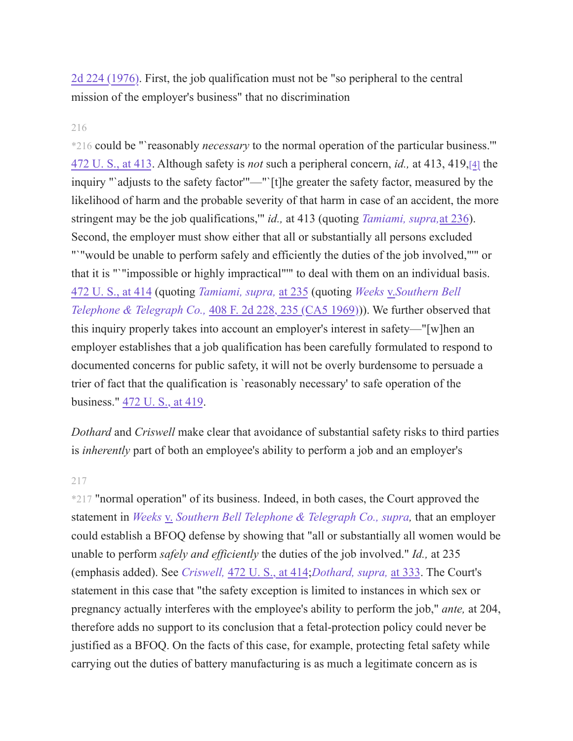[2d 224 \(1976\).](http://scholar.google.com/scholar_case?case=927929649985281002&q=Automobile+Workers+v.+Johnson+Controls&hl=en&as_sdt=2,14&scilh=0) First, the job qualification must not be "so peripheral to the central mission of the employer's business" that no discrimination

#### 216

\*216 could be "`reasonably *necessary* to the normal operation of the particular business.'" [472 U. S., at 413](http://scholar.google.com/scholar_case?case=7232159241469569502&q=Automobile+Workers+v.+Johnson+Controls&hl=en&as_sdt=2,14&scilh=0). Although safety is *not* such a peripheral concern, *id.,* at 413, 419[,\[4\]](http://scholar.google.com/scholar_case?q=Automobile+Workers+v.+Johnson+Controls&hl=en&as_sdt=2,14&case=16132234154136361578&scilh=0#%5B9%5D) the inquiry "`adjusts to the safety factor'"—"`[t]he greater the safety factor, measured by the likelihood of harm and the probable severity of that harm in case of an accident, the more stringent may be the job qualifications,'" *id.,* at 413 (quoting *[Tamiami, supra,](http://scholar.google.com/scholar_case?case=927929649985281002&q=Automobile+Workers+v.+Johnson+Controls&hl=en&as_sdt=2,14&scilh=0)*[at 236](http://scholar.google.com/scholar_case?case=927929649985281002&q=Automobile+Workers+v.+Johnson+Controls&hl=en&as_sdt=2,14&scilh=0)). Second, the employer must show either that all or substantially all persons excluded "`"would be unable to perform safely and efficiently the duties of the job involved,"'" or that it is "`"impossible or highly impractical"'" to deal with them on an individual basis. [472 U. S., at 414](http://scholar.google.com/scholar_case?case=7232159241469569502&q=Automobile+Workers+v.+Johnson+Controls&hl=en&as_sdt=2,14&scilh=0) (quoting *[Tamiami, supra,](http://scholar.google.com/scholar_case?case=927929649985281002&q=Automobile+Workers+v.+Johnson+Controls&hl=en&as_sdt=2,14&scilh=0)* [at 235](http://scholar.google.com/scholar_case?case=927929649985281002&q=Automobile+Workers+v.+Johnson+Controls&hl=en&as_sdt=2,14&scilh=0) (quoting *[Weeks](http://scholar.google.com/scholar_case?case=15041508986020128689&q=Automobile+Workers+v.+Johnson+Controls&hl=en&as_sdt=2,14&scilh=0)* [v.](http://scholar.google.com/scholar_case?case=15041508986020128689&q=Automobile+Workers+v.+Johnson+Controls&hl=en&as_sdt=2,14&scilh=0)*[Southern Bell](http://scholar.google.com/scholar_case?case=15041508986020128689&q=Automobile+Workers+v.+Johnson+Controls&hl=en&as_sdt=2,14&scilh=0)  [Telephone & Telegraph Co.,](http://scholar.google.com/scholar_case?case=15041508986020128689&q=Automobile+Workers+v.+Johnson+Controls&hl=en&as_sdt=2,14&scilh=0)* [408 F. 2d 228, 235 \(CA5 1969\)](http://scholar.google.com/scholar_case?case=15041508986020128689&q=Automobile+Workers+v.+Johnson+Controls&hl=en&as_sdt=2,14&scilh=0))). We further observed that this inquiry properly takes into account an employer's interest in safety—"[w]hen an employer establishes that a job qualification has been carefully formulated to respond to documented concerns for public safety, it will not be overly burdensome to persuade a trier of fact that the qualification is `reasonably necessary' to safe operation of the business." [472 U. S., at 419](http://scholar.google.com/scholar_case?case=7232159241469569502&q=Automobile+Workers+v.+Johnson+Controls&hl=en&as_sdt=2,14&scilh=0).

*Dothard* and *Criswell* make clear that avoidance of substantial safety risks to third parties is *inherently* part of both an employee's ability to perform a job and an employer's

#### 217

\*217 "normal operation" of its business. Indeed, in both cases, the Court approved the statement in *[Weeks](http://scholar.google.com/scholar_case?case=15041508986020128689&q=Automobile+Workers+v.+Johnson+Controls&hl=en&as_sdt=2,14&scilh=0)* [v.](http://scholar.google.com/scholar_case?case=15041508986020128689&q=Automobile+Workers+v.+Johnson+Controls&hl=en&as_sdt=2,14&scilh=0) *[Southern Bell Telephone & Telegraph Co., supra](http://scholar.google.com/scholar_case?case=15041508986020128689&q=Automobile+Workers+v.+Johnson+Controls&hl=en&as_sdt=2,14&scilh=0),* that an employer could establish a BFOQ defense by showing that "all or substantially all women would be unable to perform *safely and efficiently* the duties of the job involved." *Id.,* at 235 (emphasis added). See *[Criswell,](http://scholar.google.com/scholar_case?case=7232159241469569502&q=Automobile+Workers+v.+Johnson+Controls&hl=en&as_sdt=2,14&scilh=0)* [472 U. S., at 414;](http://scholar.google.com/scholar_case?case=7232159241469569502&q=Automobile+Workers+v.+Johnson+Controls&hl=en&as_sdt=2,14&scilh=0)*[Dothard, supra,](http://scholar.google.com/scholar_case?case=172357958960664770&q=Automobile+Workers+v.+Johnson+Controls&hl=en&as_sdt=2,14&scilh=0)* [at 333](http://scholar.google.com/scholar_case?case=172357958960664770&q=Automobile+Workers+v.+Johnson+Controls&hl=en&as_sdt=2,14&scilh=0). The Court's statement in this case that "the safety exception is limited to instances in which sex or pregnancy actually interferes with the employee's ability to perform the job," *ante,* at 204, therefore adds no support to its conclusion that a fetal-protection policy could never be justified as a BFOQ. On the facts of this case, for example, protecting fetal safety while carrying out the duties of battery manufacturing is as much a legitimate concern as is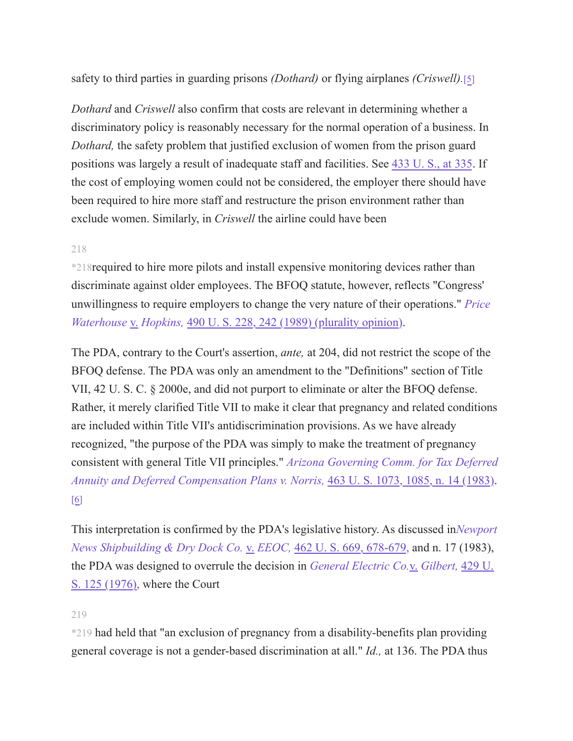safety to third parties in guarding prisons *(Dothard)* or flying airplanes *(Criswell).*[\[5\]](http://scholar.google.com/scholar_case?q=Automobile+Workers+v.+Johnson+Controls&hl=en&as_sdt=2,14&case=16132234154136361578&scilh=0#%5B10%5D)

*Dothard* and *Criswell* also confirm that costs are relevant in determining whether a discriminatory policy is reasonably necessary for the normal operation of a business. In *Dothard,* the safety problem that justified exclusion of women from the prison guard positions was largely a result of inadequate staff and facilities. See [433 U. S., at 335](http://scholar.google.com/scholar_case?case=172357958960664770&q=Automobile+Workers+v.+Johnson+Controls&hl=en&as_sdt=2,14&scilh=0). If the cost of employing women could not be considered, the employer there should have been required to hire more staff and restructure the prison environment rather than exclude women. Similarly, in *Criswell* the airline could have been

## 218

\*218required to hire more pilots and install expensive monitoring devices rather than discriminate against older employees. The BFOQ statute, however, reflects "Congress' unwillingness to require employers to change the very nature of their operations." *[Price](http://scholar.google.com/scholar_case?case=780752418377134939&q=Automobile+Workers+v.+Johnson+Controls&hl=en&as_sdt=2,14&scilh=0)  [Waterhouse](http://scholar.google.com/scholar_case?case=780752418377134939&q=Automobile+Workers+v.+Johnson+Controls&hl=en&as_sdt=2,14&scilh=0)* [v.](http://scholar.google.com/scholar_case?case=780752418377134939&q=Automobile+Workers+v.+Johnson+Controls&hl=en&as_sdt=2,14&scilh=0) *[Hopkins,](http://scholar.google.com/scholar_case?case=780752418377134939&q=Automobile+Workers+v.+Johnson+Controls&hl=en&as_sdt=2,14&scilh=0)* [490 U. S. 228, 242 \(1989\) \(plurality opinion\)](http://scholar.google.com/scholar_case?case=780752418377134939&q=Automobile+Workers+v.+Johnson+Controls&hl=en&as_sdt=2,14&scilh=0).

The PDA, contrary to the Court's assertion, *ante,* at 204, did not restrict the scope of the BFOQ defense. The PDA was only an amendment to the "Definitions" section of Title VII, 42 U. S. C. § 2000e, and did not purport to eliminate or alter the BFOQ defense. Rather, it merely clarified Title VII to make it clear that pregnancy and related conditions are included within Title VII's antidiscrimination provisions. As we have already recognized, "the purpose of the PDA was simply to make the treatment of pregnancy consistent with general Title VII principles." *[Arizona Governing Comm. for Tax Deferred](http://scholar.google.com/scholar_case?case=7404389092415528978&q=Automobile+Workers+v.+Johnson+Controls&hl=en&as_sdt=2,14&scilh=0)  [Annuity and Deferred Compensation Plans v. Norris,](http://scholar.google.com/scholar_case?case=7404389092415528978&q=Automobile+Workers+v.+Johnson+Controls&hl=en&as_sdt=2,14&scilh=0)* [463 U. S. 1073, 1085, n. 14 \(1983\)](http://scholar.google.com/scholar_case?case=7404389092415528978&q=Automobile+Workers+v.+Johnson+Controls&hl=en&as_sdt=2,14&scilh=0). [\[6\]](http://scholar.google.com/scholar_case?q=Automobile+Workers+v.+Johnson+Controls&hl=en&as_sdt=2,14&case=16132234154136361578&scilh=0#%5B11%5D)

This interpretation is confirmed by the PDA's legislative history. As discussed in*[Newport](http://scholar.google.com/scholar_case?case=6977954238570101328&q=Automobile+Workers+v.+Johnson+Controls&hl=en&as_sdt=2,14&scilh=0)  [News Shipbuilding & Dry Dock Co.](http://scholar.google.com/scholar_case?case=6977954238570101328&q=Automobile+Workers+v.+Johnson+Controls&hl=en&as_sdt=2,14&scilh=0)* [v.](http://scholar.google.com/scholar_case?case=6977954238570101328&q=Automobile+Workers+v.+Johnson+Controls&hl=en&as_sdt=2,14&scilh=0) *[EEOC,](http://scholar.google.com/scholar_case?case=6977954238570101328&q=Automobile+Workers+v.+Johnson+Controls&hl=en&as_sdt=2,14&scilh=0)* [462 U. S. 669, 678-679,](http://scholar.google.com/scholar_case?case=6977954238570101328&q=Automobile+Workers+v.+Johnson+Controls&hl=en&as_sdt=2,14&scilh=0) and n. 17 (1983), the PDA was designed to overrule the decision in *[General Electric Co.](http://scholar.google.com/scholar_case?case=11606200352274499710&q=Automobile+Workers+v.+Johnson+Controls&hl=en&as_sdt=2,14&scilh=0)*[v.](http://scholar.google.com/scholar_case?case=11606200352274499710&q=Automobile+Workers+v.+Johnson+Controls&hl=en&as_sdt=2,14&scilh=0) *[Gilbert,](http://scholar.google.com/scholar_case?case=11606200352274499710&q=Automobile+Workers+v.+Johnson+Controls&hl=en&as_sdt=2,14&scilh=0)* [429 U.](http://scholar.google.com/scholar_case?case=11606200352274499710&q=Automobile+Workers+v.+Johnson+Controls&hl=en&as_sdt=2,14&scilh=0)  [S. 125 \(1976\),](http://scholar.google.com/scholar_case?case=11606200352274499710&q=Automobile+Workers+v.+Johnson+Controls&hl=en&as_sdt=2,14&scilh=0) where the Court

### 219

\*219 had held that "an exclusion of pregnancy from a disability-benefits plan providing general coverage is not a gender-based discrimination at all." *Id.,* at 136. The PDA thus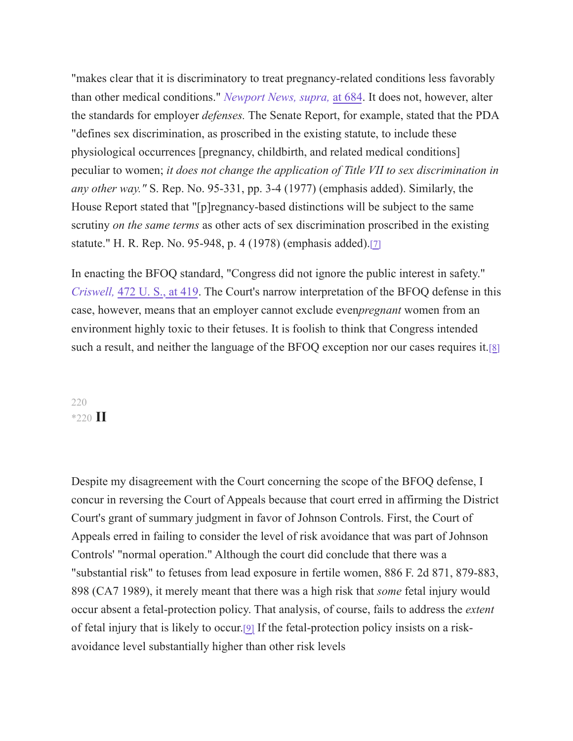"makes clear that it is discriminatory to treat pregnancy-related conditions less favorably than other medical conditions." *[Newport News, supra,](http://scholar.google.com/scholar_case?case=6977954238570101328&q=Automobile+Workers+v.+Johnson+Controls&hl=en&as_sdt=2,14&scilh=0)* [at 684](http://scholar.google.com/scholar_case?case=6977954238570101328&q=Automobile+Workers+v.+Johnson+Controls&hl=en&as_sdt=2,14&scilh=0). It does not, however, alter the standards for employer *defenses.* The Senate Report, for example, stated that the PDA "defines sex discrimination, as proscribed in the existing statute, to include these physiological occurrences [pregnancy, childbirth, and related medical conditions] peculiar to women; *it does not change the application of Title VII to sex discrimination in any other way."* S. Rep. No. 95-331, pp. 3-4 (1977) (emphasis added). Similarly, the House Report stated that "[p]regnancy-based distinctions will be subject to the same scrutiny *on the same terms* as other acts of sex discrimination proscribed in the existing statute." H. R. Rep. No. 95-948, p. 4 (1978) (emphasis added).[\[7\]](http://scholar.google.com/scholar_case?q=Automobile+Workers+v.+Johnson+Controls&hl=en&as_sdt=2,14&case=16132234154136361578&scilh=0#%5B12%5D)

In enacting the BFOQ standard, "Congress did not ignore the public interest in safety." *[Criswell,](http://scholar.google.com/scholar_case?case=7232159241469569502&q=Automobile+Workers+v.+Johnson+Controls&hl=en&as_sdt=2,14&scilh=0)* [472 U. S., at 419](http://scholar.google.com/scholar_case?case=7232159241469569502&q=Automobile+Workers+v.+Johnson+Controls&hl=en&as_sdt=2,14&scilh=0). The Court's narrow interpretation of the BFOQ defense in this case, however, means that an employer cannot exclude even*pregnant* women from an environment highly toxic to their fetuses. It is foolish to think that Congress intended such a result, and neither the language of the BFOQ exception nor our cases requires it[.\[8\]](http://scholar.google.com/scholar_case?q=Automobile+Workers+v.+Johnson+Controls&hl=en&as_sdt=2,14&case=16132234154136361578&scilh=0#%5B13%5D)

## 220 \*220 **II**

Despite my disagreement with the Court concerning the scope of the BFOQ defense, I concur in reversing the Court of Appeals because that court erred in affirming the District Court's grant of summary judgment in favor of Johnson Controls. First, the Court of Appeals erred in failing to consider the level of risk avoidance that was part of Johnson Controls' "normal operation." Although the court did conclude that there was a "substantial risk" to fetuses from lead exposure in fertile women, 886 F. 2d 871, 879-883, 898 (CA7 1989), it merely meant that there was a high risk that *some* fetal injury would occur absent a fetal-protection policy. That analysis, of course, fails to address the *extent* of fetal injury that is likely to occur.[\[9\]](http://scholar.google.com/scholar_case?q=Automobile+Workers+v.+Johnson+Controls&hl=en&as_sdt=2,14&case=16132234154136361578&scilh=0#%5B14%5D) If the fetal-protection policy insists on a riskavoidance level substantially higher than other risk levels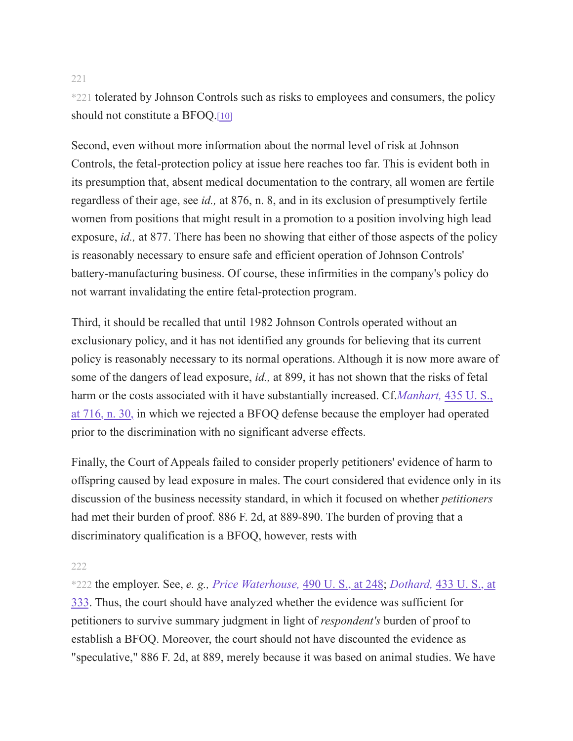\*221 tolerated by Johnson Controls such as risks to employees and consumers, the policy should not constitute a BFOQ.[\[10\]](http://scholar.google.com/scholar_case?q=Automobile+Workers+v.+Johnson+Controls&hl=en&as_sdt=2,14&case=16132234154136361578&scilh=0#%5B15%5D)

Second, even without more information about the normal level of risk at Johnson Controls, the fetal-protection policy at issue here reaches too far. This is evident both in its presumption that, absent medical documentation to the contrary, all women are fertile regardless of their age, see *id.,* at 876, n. 8, and in its exclusion of presumptively fertile women from positions that might result in a promotion to a position involving high lead exposure, *id.,* at 877. There has been no showing that either of those aspects of the policy is reasonably necessary to ensure safe and efficient operation of Johnson Controls' battery-manufacturing business. Of course, these infirmities in the company's policy do not warrant invalidating the entire fetal-protection program.

Third, it should be recalled that until 1982 Johnson Controls operated without an exclusionary policy, and it has not identified any grounds for believing that its current policy is reasonably necessary to its normal operations. Although it is now more aware of some of the dangers of lead exposure, *id.,* at 899, it has not shown that the risks of fetal harm or the costs associated with it have substantially increased. Cf.*[Manhart,](http://scholar.google.com/scholar_case?case=10164337249526753874&q=Automobile+Workers+v.+Johnson+Controls&hl=en&as_sdt=2,14&scilh=0)* [435 U. S.,](http://scholar.google.com/scholar_case?case=10164337249526753874&q=Automobile+Workers+v.+Johnson+Controls&hl=en&as_sdt=2,14&scilh=0)  [at 716, n. 30,](http://scholar.google.com/scholar_case?case=10164337249526753874&q=Automobile+Workers+v.+Johnson+Controls&hl=en&as_sdt=2,14&scilh=0) in which we rejected a BFOQ defense because the employer had operated prior to the discrimination with no significant adverse effects.

Finally, the Court of Appeals failed to consider properly petitioners' evidence of harm to offspring caused by lead exposure in males. The court considered that evidence only in its discussion of the business necessity standard, in which it focused on whether *petitioners* had met their burden of proof. 886 F. 2d, at 889-890. The burden of proving that a discriminatory qualification is a BFOQ, however, rests with

222

\*222 the employer. See, *e. g., [Price Waterhouse,](http://scholar.google.com/scholar_case?case=780752418377134939&q=Automobile+Workers+v.+Johnson+Controls&hl=en&as_sdt=2,14&scilh=0)* [490 U. S., at 248;](http://scholar.google.com/scholar_case?case=780752418377134939&q=Automobile+Workers+v.+Johnson+Controls&hl=en&as_sdt=2,14&scilh=0) *[Dothard,](http://scholar.google.com/scholar_case?case=172357958960664770&q=Automobile+Workers+v.+Johnson+Controls&hl=en&as_sdt=2,14&scilh=0)* [433 U. S., at](http://scholar.google.com/scholar_case?case=172357958960664770&q=Automobile+Workers+v.+Johnson+Controls&hl=en&as_sdt=2,14&scilh=0)  [333](http://scholar.google.com/scholar_case?case=172357958960664770&q=Automobile+Workers+v.+Johnson+Controls&hl=en&as_sdt=2,14&scilh=0). Thus, the court should have analyzed whether the evidence was sufficient for petitioners to survive summary judgment in light of *respondent's* burden of proof to establish a BFOQ. Moreover, the court should not have discounted the evidence as "speculative," 886 F. 2d, at 889, merely because it was based on animal studies. We have

#### 221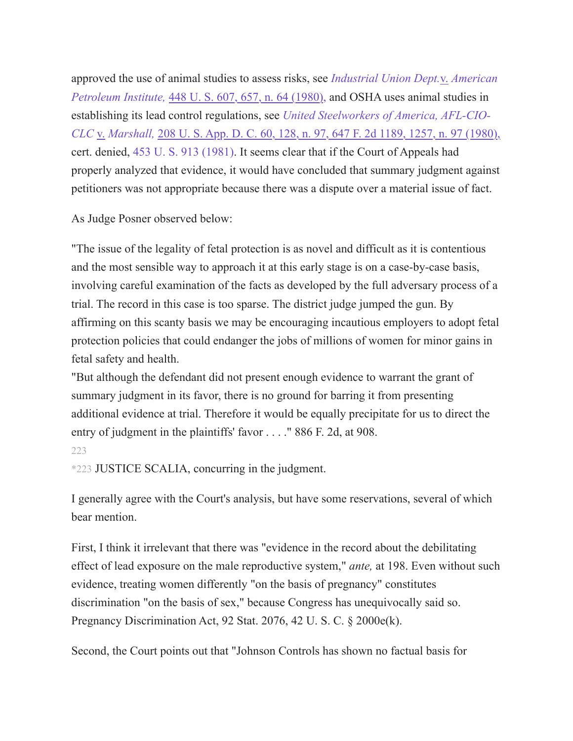approved the use of animal studies to assess risks, see *[Industrial Union Dept.](http://scholar.google.com/scholar_case?case=968580795714943926&q=Automobile+Workers+v.+Johnson+Controls&hl=en&as_sdt=2,14&scilh=0)*[v.](http://scholar.google.com/scholar_case?case=968580795714943926&q=Automobile+Workers+v.+Johnson+Controls&hl=en&as_sdt=2,14&scilh=0) *[American](http://scholar.google.com/scholar_case?case=968580795714943926&q=Automobile+Workers+v.+Johnson+Controls&hl=en&as_sdt=2,14&scilh=0)  [Petroleum Institute,](http://scholar.google.com/scholar_case?case=968580795714943926&q=Automobile+Workers+v.+Johnson+Controls&hl=en&as_sdt=2,14&scilh=0)* [448 U. S. 607, 657, n. 64 \(1980\),](http://scholar.google.com/scholar_case?case=968580795714943926&q=Automobile+Workers+v.+Johnson+Controls&hl=en&as_sdt=2,14&scilh=0) and OSHA uses animal studies in establishing its lead control regulations, see *[United Steelworkers of America, AFL-CIO-](http://scholar.google.com/scholar_case?case=18431757724194136666&q=Automobile+Workers+v.+Johnson+Controls&hl=en&as_sdt=2,14&scilh=0)[CLC](http://scholar.google.com/scholar_case?case=18431757724194136666&q=Automobile+Workers+v.+Johnson+Controls&hl=en&as_sdt=2,14&scilh=0)* [v.](http://scholar.google.com/scholar_case?case=18431757724194136666&q=Automobile+Workers+v.+Johnson+Controls&hl=en&as_sdt=2,14&scilh=0) *[Marshall,](http://scholar.google.com/scholar_case?case=18431757724194136666&q=Automobile+Workers+v.+Johnson+Controls&hl=en&as_sdt=2,14&scilh=0)* [208 U. S. App. D. C. 60, 128, n. 97, 647 F. 2d 1189, 1257, n. 97 \(1980\),](http://scholar.google.com/scholar_case?case=18431757724194136666&q=Automobile+Workers+v.+Johnson+Controls&hl=en&as_sdt=2,14&scilh=0) cert. denied, [453 U. S. 913 \(1981\).](http://scholar.google.com/scholar_case?about=7666662212861557402&q=Automobile+Workers+v.+Johnson+Controls&hl=en&as_sdt=2,14&scilh=0) It seems clear that if the Court of Appeals had properly analyzed that evidence, it would have concluded that summary judgment against petitioners was not appropriate because there was a dispute over a material issue of fact.

As Judge Posner observed below:

"The issue of the legality of fetal protection is as novel and difficult as it is contentious and the most sensible way to approach it at this early stage is on a case-by-case basis, involving careful examination of the facts as developed by the full adversary process of a trial. The record in this case is too sparse. The district judge jumped the gun. By affirming on this scanty basis we may be encouraging incautious employers to adopt fetal protection policies that could endanger the jobs of millions of women for minor gains in fetal safety and health.

"But although the defendant did not present enough evidence to warrant the grant of summary judgment in its favor, there is no ground for barring it from presenting additional evidence at trial. Therefore it would be equally precipitate for us to direct the entry of judgment in the plaintiffs' favor . . . ." 886 F. 2d, at 908.

223

\*223 JUSTICE SCALIA, concurring in the judgment.

I generally agree with the Court's analysis, but have some reservations, several of which bear mention.

First, I think it irrelevant that there was "evidence in the record about the debilitating effect of lead exposure on the male reproductive system," *ante,* at 198. Even without such evidence, treating women differently "on the basis of pregnancy" constitutes discrimination "on the basis of sex," because Congress has unequivocally said so. Pregnancy Discrimination Act, 92 Stat. 2076, 42 U. S. C. § 2000e(k).

Second, the Court points out that "Johnson Controls has shown no factual basis for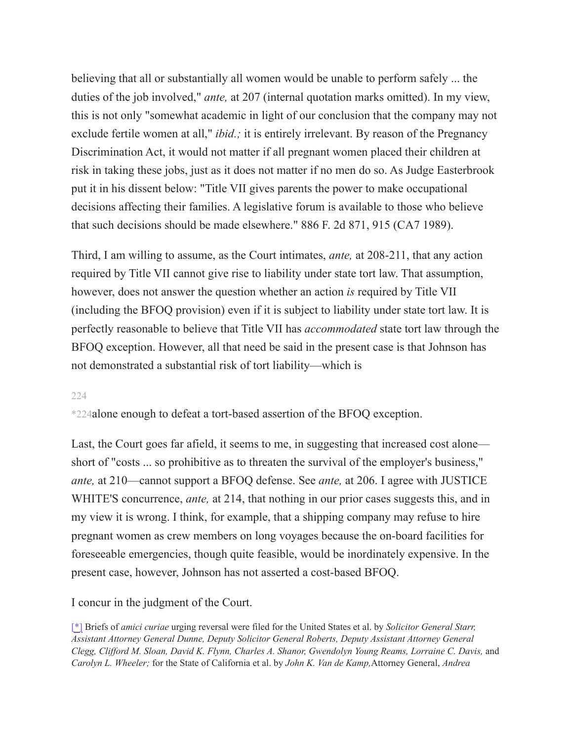believing that all or substantially all women would be unable to perform safely ... the duties of the job involved," *ante,* at 207 (internal quotation marks omitted). In my view, this is not only "somewhat academic in light of our conclusion that the company may not exclude fertile women at all," *ibid.;* it is entirely irrelevant. By reason of the Pregnancy Discrimination Act, it would not matter if all pregnant women placed their children at risk in taking these jobs, just as it does not matter if no men do so. As Judge Easterbrook put it in his dissent below: "Title VII gives parents the power to make occupational decisions affecting their families. A legislative forum is available to those who believe that such decisions should be made elsewhere." 886 F. 2d 871, 915 (CA7 1989).

Third, I am willing to assume, as the Court intimates, *ante,* at 208-211, that any action required by Title VII cannot give rise to liability under state tort law. That assumption, however, does not answer the question whether an action *is* required by Title VII (including the BFOQ provision) even if it is subject to liability under state tort law. It is perfectly reasonable to believe that Title VII has *accommodated* state tort law through the BFOQ exception. However, all that need be said in the present case is that Johnson has not demonstrated a substantial risk of tort liability—which is

#### 224

\*224alone enough to defeat a tort-based assertion of the BFOQ exception.

Last, the Court goes far afield, it seems to me, in suggesting that increased cost alone short of "costs ... so prohibitive as to threaten the survival of the employer's business," *ante,* at 210—cannot support a BFOQ defense. See *ante,* at 206. I agree with JUSTICE WHITE'S concurrence, *ante,* at 214, that nothing in our prior cases suggests this, and in my view it is wrong. I think, for example, that a shipping company may refuse to hire pregnant women as crew members on long voyages because the on-board facilities for foreseeable emergencies, though quite feasible, would be inordinately expensive. In the present case, however, Johnson has not asserted a cost-based BFOQ.

I concur in the judgment of the Court.

[\[\\*\]](http://scholar.google.com/scholar_case?q=Automobile+Workers+v.+Johnson+Controls&hl=en&as_sdt=2,14&case=16132234154136361578&scilh=0#r%5B1%5D) Briefs of *amici curiae* urging reversal were filed for the United States et al. by *Solicitor General Starr, Assistant Attorney General Dunne, Deputy Solicitor General Roberts, Deputy Assistant Attorney General Clegg, Clifford M. Sloan, David K. Flynn, Charles A. Shanor, Gwendolyn Young Reams, Lorraine C. Davis,* and *Carolyn L. Wheeler;* for the State of California et al. by *John K. Van de Kamp,*Attorney General, *Andrea*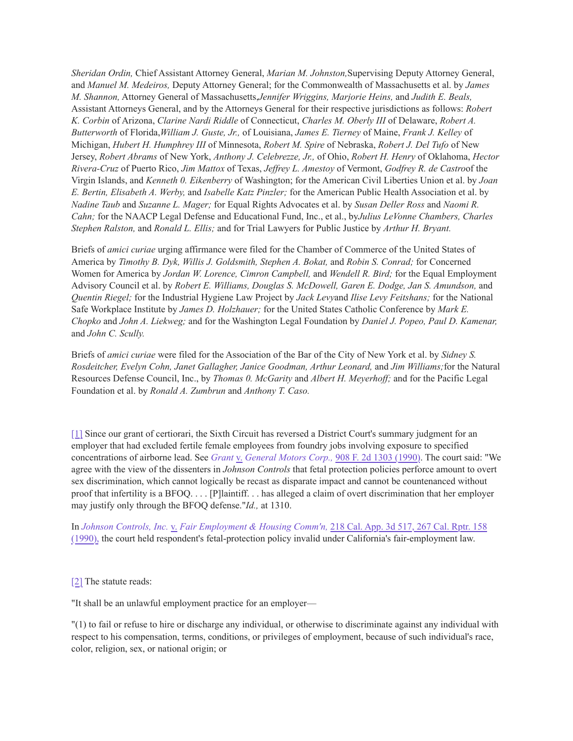*Sheridan Ordin,* Chief Assistant Attorney General, *Marian M. Johnston,*Supervising Deputy Attorney General, and *Manuel M. Medeiros,* Deputy Attorney General; for the Commonwealth of Massachusetts et al. by *James M. Shannon,* Attorney General of Massachusetts,*Jennifer Wriggins, Marjorie Heins,* and *Judith E. Beals,* Assistant Attorneys General, and by the Attorneys General for their respective jurisdictions as follows: *Robert K. Corbin* of Arizona, *Clarine Nardi Riddle* of Connecticut, *Charles M. Oberly III* of Delaware, *Robert A. Butterworth* of Florida,*William J. Guste, Jr.,* of Louisiana, *James E. Tierney* of Maine, *Frank J. Kelley* of Michigan, *Hubert H. Humphrey III* of Minnesota, *Robert M. Spire* of Nebraska, *Robert J. Del Tufo* of New Jersey, *Robert Abrams* of New York, *Anthony J. Celebrezze, Jr.,* of Ohio, *Robert H. Henry* of Oklahoma, *Hector Rivera-Cruz* of Puerto Rico, *Jim Mattox* of Texas, *Jeffrey L. Amestoy* of Vermont, *Godfrey R. de Castro*of the Virgin Islands, and *Kenneth 0. Eikenberry* of Washington; for the American Civil Liberties Union et al. by *Joan E. Bertin, Elisabeth A. Werby,* and *Isabelle Katz Pinzler;* for the American Public Health Association et al. by *Nadine Taub* and *Suzanne L. Mager;* for Equal Rights Advocates et al. by *Susan Deller Ross* and *Naomi R. Cahn;* for the NAACP Legal Defense and Educational Fund, Inc., et al., by*Julius LeVonne Chambers, Charles Stephen Ralston,* and *Ronald L. Ellis;* and for Trial Lawyers for Public Justice by *Arthur H. Bryant.*

Briefs of *amici curiae* urging affirmance were filed for the Chamber of Commerce of the United States of America by *Timothy B. Dyk, Willis J. Goldsmith, Stephen A. Bokat,* and *Robin S. Conrad;* for Concerned Women for America by *Jordan W. Lorence, Cimron Campbell,* and *Wendell R. Bird;* for the Equal Employment Advisory Council et al. by *Robert E. Williams, Douglas S. McDowell, Garen E. Dodge, Jan S. Amundson,* and *Quentin Riegel;* for the Industrial Hygiene Law Project by *Jack Levy*and *Ilise Levy Feitshans;* for the National Safe Workplace Institute by *James D. Holzhauer;* for the United States Catholic Conference by *Mark E. Chopko* and *John A. Liekweg;* and for the Washington Legal Foundation by *Daniel J. Popeo, Paul D. Kamenar,* and *John C. Scully.*

Briefs of *amici curiae* were filed for the Association of the Bar of the City of New York et al. by *Sidney S. Rosdeitcher, Evelyn Cohn, Janet Gallagher, Janice Goodman, Arthur Leonard,* and *Jim Williams;*for the Natural Resources Defense Council, Inc., by *Thomas 0. McGarity* and *Albert H. Meyerhoff;* and for the Pacific Legal Foundation et al. by *Ronald A. Zumbrun* and *Anthony T. Caso.*

[\[1\]](http://scholar.google.com/scholar_case?q=Automobile+Workers+v.+Johnson+Controls&hl=en&as_sdt=2,14&case=16132234154136361578&scilh=0#r%5B2%5D) Since our grant of certiorari, the Sixth Circuit has reversed a District Court's summary judgment for an employer that had excluded fertile female employees from foundry jobs involving exposure to specified concentrations of airborne lead. See *[Grant](http://scholar.google.com/scholar_case?case=13879496799507005385&q=Automobile+Workers+v.+Johnson+Controls&hl=en&as_sdt=2,14&scilh=0)* [v.](http://scholar.google.com/scholar_case?case=13879496799507005385&q=Automobile+Workers+v.+Johnson+Controls&hl=en&as_sdt=2,14&scilh=0) *[General Motors Corp.,](http://scholar.google.com/scholar_case?case=13879496799507005385&q=Automobile+Workers+v.+Johnson+Controls&hl=en&as_sdt=2,14&scilh=0)* [908 F. 2d 1303 \(1990\)](http://scholar.google.com/scholar_case?case=13879496799507005385&q=Automobile+Workers+v.+Johnson+Controls&hl=en&as_sdt=2,14&scilh=0). The court said: "We agree with the view of the dissenters in *Johnson Controls* that fetal protection policies perforce amount to overt sex discrimination, which cannot logically be recast as disparate impact and cannot be countenanced without proof that infertility is a BFOQ. . . . [P]laintiff. . . has alleged a claim of overt discrimination that her employer may justify only through the BFOQ defense."*Id.,* at 1310.

In *[Johnson Controls, Inc.](http://scholar.google.com/scholar_case?case=8341866242459311565&q=Automobile+Workers+v.+Johnson+Controls&hl=en&as_sdt=2,14&scilh=0)* [v.](http://scholar.google.com/scholar_case?case=8341866242459311565&q=Automobile+Workers+v.+Johnson+Controls&hl=en&as_sdt=2,14&scilh=0) *[Fair Employment & Housing Comm'n,](http://scholar.google.com/scholar_case?case=8341866242459311565&q=Automobile+Workers+v.+Johnson+Controls&hl=en&as_sdt=2,14&scilh=0)* [218 Cal. App. 3d 517, 267 Cal. Rptr. 158](http://scholar.google.com/scholar_case?case=8341866242459311565&q=Automobile+Workers+v.+Johnson+Controls&hl=en&as_sdt=2,14&scilh=0)  [\(1990\),](http://scholar.google.com/scholar_case?case=8341866242459311565&q=Automobile+Workers+v.+Johnson+Controls&hl=en&as_sdt=2,14&scilh=0) the court held respondent's fetal-protection policy invalid under California's fair-employment law.

[\[2\]](http://scholar.google.com/scholar_case?q=Automobile+Workers+v.+Johnson+Controls&hl=en&as_sdt=2,14&case=16132234154136361578&scilh=0#r%5B3%5D) The statute reads:

"It shall be an unlawful employment practice for an employer—

"(1) to fail or refuse to hire or discharge any individual, or otherwise to discriminate against any individual with respect to his compensation, terms, conditions, or privileges of employment, because of such individual's race, color, religion, sex, or national origin; or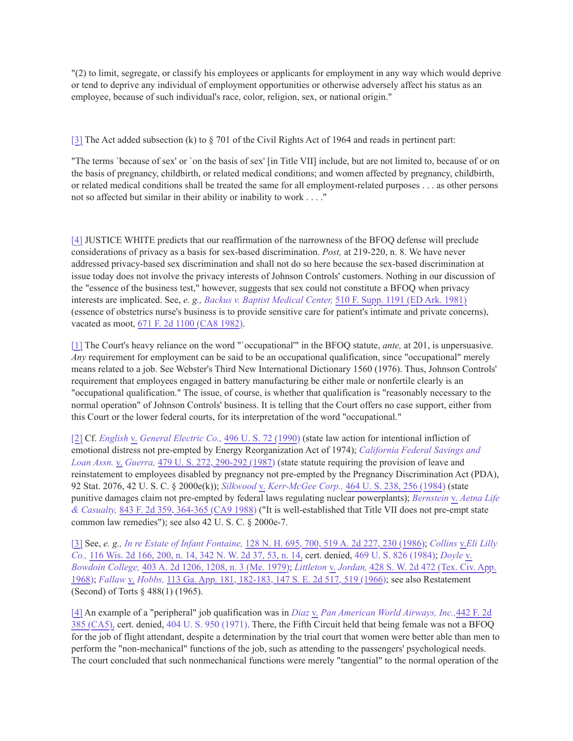"(2) to limit, segregate, or classify his employees or applicants for employment in any way which would deprive or tend to deprive any individual of employment opportunities or otherwise adversely affect his status as an employee, because of such individual's race, color, religion, sex, or national origin."

[\[3\]](http://scholar.google.com/scholar_case?q=Automobile+Workers+v.+Johnson+Controls&hl=en&as_sdt=2,14&case=16132234154136361578&scilh=0#r%5B4%5D) The Act added subsection (k) to § 701 of the Civil Rights Act of 1964 and reads in pertinent part:

"The terms `because of sex' or `on the basis of sex' [in Title VII] include, but are not limited to, because of or on the basis of pregnancy, childbirth, or related medical conditions; and women affected by pregnancy, childbirth, or related medical conditions shall be treated the same for all employment-related purposes . . . as other persons not so affected but similar in their ability or inability to work . . . ."

[\[4\]](http://scholar.google.com/scholar_case?q=Automobile+Workers+v.+Johnson+Controls&hl=en&as_sdt=2,14&case=16132234154136361578&scilh=0#r%5B5%5D) JUSTICE WHITE predicts that our reaffirmation of the narrowness of the BFOQ defense will preclude considerations of privacy as a basis for sex-based discrimination. *Post,* at 219-220, n. 8. We have never addressed privacy-based sex discrimination and shall not do so here because the sex-based discrimination at issue today does not involve the privacy interests of Johnson Controls' customers. Nothing in our discussion of the "essence of the business test," however, suggests that sex could not constitute a BFOQ when privacy interests are implicated. See, *e. g., [Backus v. Baptist Medical Center,](http://scholar.google.com/scholar_case?case=2210156281132062938&q=Automobile+Workers+v.+Johnson+Controls&hl=en&as_sdt=2,14&scilh=0)* [510 F. Supp. 1191 \(ED Ark. 1981\)](http://scholar.google.com/scholar_case?case=2210156281132062938&q=Automobile+Workers+v.+Johnson+Controls&hl=en&as_sdt=2,14&scilh=0) (essence of obstetrics nurse's business is to provide sensitive care for patient's intimate and private concerns), vacated as moot, [671 F. 2d 1100 \(CA8 1982\)](http://scholar.google.com/scholar_case?case=3809230403515037182&q=Automobile+Workers+v.+Johnson+Controls&hl=en&as_sdt=2,14&scilh=0).

[\[1\]](http://scholar.google.com/scholar_case?q=Automobile+Workers+v.+Johnson+Controls&hl=en&as_sdt=2,14&case=16132234154136361578&scilh=0#r%5B6%5D) The Court's heavy reliance on the word "`occupational'" in the BFOQ statute, *ante,* at 201, is unpersuasive. *Any* requirement for employment can be said to be an occupational qualification, since "occupational" merely means related to a job. See Webster's Third New International Dictionary 1560 (1976). Thus, Johnson Controls' requirement that employees engaged in battery manufacturing be either male or nonfertile clearly is an "occupational qualification." The issue, of course, is whether that qualification is "reasonably necessary to the normal operation" of Johnson Controls' business. It is telling that the Court offers no case support, either from this Court or the lower federal courts, for its interpretation of the word "occupational."

[\[2\]](http://scholar.google.com/scholar_case?q=Automobile+Workers+v.+Johnson+Controls&hl=en&as_sdt=2,14&case=16132234154136361578&scilh=0#r%5B7%5D) Cf. *[English](http://scholar.google.com/scholar_case?case=8823653473519031014&q=Automobile+Workers+v.+Johnson+Controls&hl=en&as_sdt=2,14&scilh=0)* [v.](http://scholar.google.com/scholar_case?case=8823653473519031014&q=Automobile+Workers+v.+Johnson+Controls&hl=en&as_sdt=2,14&scilh=0) *[General Electric Co.,](http://scholar.google.com/scholar_case?case=8823653473519031014&q=Automobile+Workers+v.+Johnson+Controls&hl=en&as_sdt=2,14&scilh=0)* [496 U. S. 72 \(1990\)](http://scholar.google.com/scholar_case?case=8823653473519031014&q=Automobile+Workers+v.+Johnson+Controls&hl=en&as_sdt=2,14&scilh=0) (state law action for intentional infliction of emotional distress not pre-empted by Energy Reorganization Act of 1974); *[California Federal Savings and](http://scholar.google.com/scholar_case?case=16446221120081599738&q=Automobile+Workers+v.+Johnson+Controls&hl=en&as_sdt=2,14&scilh=0)  [Loan Assn.](http://scholar.google.com/scholar_case?case=16446221120081599738&q=Automobile+Workers+v.+Johnson+Controls&hl=en&as_sdt=2,14&scilh=0)* [v.](http://scholar.google.com/scholar_case?case=16446221120081599738&q=Automobile+Workers+v.+Johnson+Controls&hl=en&as_sdt=2,14&scilh=0) *[Guerra,](http://scholar.google.com/scholar_case?case=16446221120081599738&q=Automobile+Workers+v.+Johnson+Controls&hl=en&as_sdt=2,14&scilh=0)* [479 U. S. 272, 290-292 \(1987\)](http://scholar.google.com/scholar_case?case=16446221120081599738&q=Automobile+Workers+v.+Johnson+Controls&hl=en&as_sdt=2,14&scilh=0) (state statute requiring the provision of leave and reinstatement to employees disabled by pregnancy not pre-empted by the Pregnancy Discrimination Act (PDA), 92 Stat. 2076, 42 U. S. C. § 2000e(k)); *[Silkwood](http://scholar.google.com/scholar_case?case=4174729399921228676&q=Automobile+Workers+v.+Johnson+Controls&hl=en&as_sdt=2,14&scilh=0)* [v.](http://scholar.google.com/scholar_case?case=4174729399921228676&q=Automobile+Workers+v.+Johnson+Controls&hl=en&as_sdt=2,14&scilh=0) *[Kerr-McGee Corp.,](http://scholar.google.com/scholar_case?case=4174729399921228676&q=Automobile+Workers+v.+Johnson+Controls&hl=en&as_sdt=2,14&scilh=0)* [464 U. S. 238, 256 \(1984\)](http://scholar.google.com/scholar_case?case=4174729399921228676&q=Automobile+Workers+v.+Johnson+Controls&hl=en&as_sdt=2,14&scilh=0) (state punitive damages claim not pre-empted by federal laws regulating nuclear powerplants); *[Bernstein](http://scholar.google.com/scholar_case?case=5771314206158031137&q=Automobile+Workers+v.+Johnson+Controls&hl=en&as_sdt=2,14&scilh=0)* [v.](http://scholar.google.com/scholar_case?case=5771314206158031137&q=Automobile+Workers+v.+Johnson+Controls&hl=en&as_sdt=2,14&scilh=0) *[Aetna Life](http://scholar.google.com/scholar_case?case=5771314206158031137&q=Automobile+Workers+v.+Johnson+Controls&hl=en&as_sdt=2,14&scilh=0)  [& Casualty,](http://scholar.google.com/scholar_case?case=5771314206158031137&q=Automobile+Workers+v.+Johnson+Controls&hl=en&as_sdt=2,14&scilh=0)* [843 F. 2d 359, 364-365 \(CA9 1988\)](http://scholar.google.com/scholar_case?case=5771314206158031137&q=Automobile+Workers+v.+Johnson+Controls&hl=en&as_sdt=2,14&scilh=0) ("It is well-established that Title VII does not pre-empt state common law remedies"); see also 42 U. S. C. § 2000e-7.

[\[3\]](http://scholar.google.com/scholar_case?q=Automobile+Workers+v.+Johnson+Controls&hl=en&as_sdt=2,14&case=16132234154136361578&scilh=0#r%5B8%5D) See, *e. g., [In re Estate of Infant Fontaine,](http://scholar.google.com/scholar_case?case=161169303232883630&q=Automobile+Workers+v.+Johnson+Controls&hl=en&as_sdt=2,14&scilh=0)* [128 N. H. 695, 700, 519 A. 2d 227, 230 \(1986\);](http://scholar.google.com/scholar_case?case=161169303232883630&q=Automobile+Workers+v.+Johnson+Controls&hl=en&as_sdt=2,14&scilh=0) *[Collins](http://scholar.google.com/scholar_case?case=3286474234896154730&q=Automobile+Workers+v.+Johnson+Controls&hl=en&as_sdt=2,14&scilh=0)* [v.](http://scholar.google.com/scholar_case?case=3286474234896154730&q=Automobile+Workers+v.+Johnson+Controls&hl=en&as_sdt=2,14&scilh=0)*[Eli Lilly](http://scholar.google.com/scholar_case?case=3286474234896154730&q=Automobile+Workers+v.+Johnson+Controls&hl=en&as_sdt=2,14&scilh=0)  [Co.,](http://scholar.google.com/scholar_case?case=3286474234896154730&q=Automobile+Workers+v.+Johnson+Controls&hl=en&as_sdt=2,14&scilh=0)* [116 Wis. 2d 166, 200, n. 14, 342 N. W. 2d 37, 53, n. 14,](http://scholar.google.com/scholar_case?case=3286474234896154730&q=Automobile+Workers+v.+Johnson+Controls&hl=en&as_sdt=2,14&scilh=0) cert. denied, [469 U. S. 826 \(1984\)](http://scholar.google.com/scholar_case?about=3470776207732896889&q=Automobile+Workers+v.+Johnson+Controls&hl=en&as_sdt=2,14&scilh=0); *[Doyle](http://scholar.google.com/scholar_case?case=11037228466287852442&q=Automobile+Workers+v.+Johnson+Controls&hl=en&as_sdt=2,14&scilh=0)* [v.](http://scholar.google.com/scholar_case?case=11037228466287852442&q=Automobile+Workers+v.+Johnson+Controls&hl=en&as_sdt=2,14&scilh=0) *[Bowdoin College,](http://scholar.google.com/scholar_case?case=11037228466287852442&q=Automobile+Workers+v.+Johnson+Controls&hl=en&as_sdt=2,14&scilh=0)* [403 A. 2d 1206, 1208, n. 3 \(Me. 1979\)](http://scholar.google.com/scholar_case?case=11037228466287852442&q=Automobile+Workers+v.+Johnson+Controls&hl=en&as_sdt=2,14&scilh=0); *[Littleton](http://scholar.google.com/scholar_case?case=4932479677350089084&q=Automobile+Workers+v.+Johnson+Controls&hl=en&as_sdt=2,14&scilh=0)* [v.](http://scholar.google.com/scholar_case?case=4932479677350089084&q=Automobile+Workers+v.+Johnson+Controls&hl=en&as_sdt=2,14&scilh=0) *[Jordan,](http://scholar.google.com/scholar_case?case=4932479677350089084&q=Automobile+Workers+v.+Johnson+Controls&hl=en&as_sdt=2,14&scilh=0)* [428 S. W. 2d 472 \(Tex. Civ. App.](http://scholar.google.com/scholar_case?case=4932479677350089084&q=Automobile+Workers+v.+Johnson+Controls&hl=en&as_sdt=2,14&scilh=0)  [1968\)](http://scholar.google.com/scholar_case?case=4932479677350089084&q=Automobile+Workers+v.+Johnson+Controls&hl=en&as_sdt=2,14&scilh=0); *[Fallaw](http://scholar.google.com/scholar_case?case=18331650948970709997&q=Automobile+Workers+v.+Johnson+Controls&hl=en&as_sdt=2,14&scilh=0)* [v.](http://scholar.google.com/scholar_case?case=18331650948970709997&q=Automobile+Workers+v.+Johnson+Controls&hl=en&as_sdt=2,14&scilh=0) *[Hobbs,](http://scholar.google.com/scholar_case?case=18331650948970709997&q=Automobile+Workers+v.+Johnson+Controls&hl=en&as_sdt=2,14&scilh=0)* [113 Ga. App. 181, 182-183, 147 S. E. 2d 517, 519 \(1966\);](http://scholar.google.com/scholar_case?case=18331650948970709997&q=Automobile+Workers+v.+Johnson+Controls&hl=en&as_sdt=2,14&scilh=0) see also Restatement (Second) of Torts § 488(1) (1965).

[\[4\]](http://scholar.google.com/scholar_case?q=Automobile+Workers+v.+Johnson+Controls&hl=en&as_sdt=2,14&case=16132234154136361578&scilh=0#r%5B9%5D) An example of a "peripheral" job qualification was in *[Diaz](http://scholar.google.com/scholar_case?case=16459524217577963657&q=Automobile+Workers+v.+Johnson+Controls&hl=en&as_sdt=2,14&scilh=0)* [v.](http://scholar.google.com/scholar_case?case=16459524217577963657&q=Automobile+Workers+v.+Johnson+Controls&hl=en&as_sdt=2,14&scilh=0) *[Pan American World Airways, Inc.,](http://scholar.google.com/scholar_case?case=16459524217577963657&q=Automobile+Workers+v.+Johnson+Controls&hl=en&as_sdt=2,14&scilh=0)*[442 F. 2d](http://scholar.google.com/scholar_case?case=16459524217577963657&q=Automobile+Workers+v.+Johnson+Controls&hl=en&as_sdt=2,14&scilh=0)  [385 \(CA5\),](http://scholar.google.com/scholar_case?case=16459524217577963657&q=Automobile+Workers+v.+Johnson+Controls&hl=en&as_sdt=2,14&scilh=0) cert. denied, [404 U. S. 950 \(1971\)](http://scholar.google.com/scholar_case?about=4568964488326480673&q=Automobile+Workers+v.+Johnson+Controls&hl=en&as_sdt=2,14&scilh=0). There, the Fifth Circuit held that being female was not a BFOQ for the job of flight attendant, despite a determination by the trial court that women were better able than men to perform the "non-mechanical" functions of the job, such as attending to the passengers' psychological needs. The court concluded that such nonmechanical functions were merely "tangential" to the normal operation of the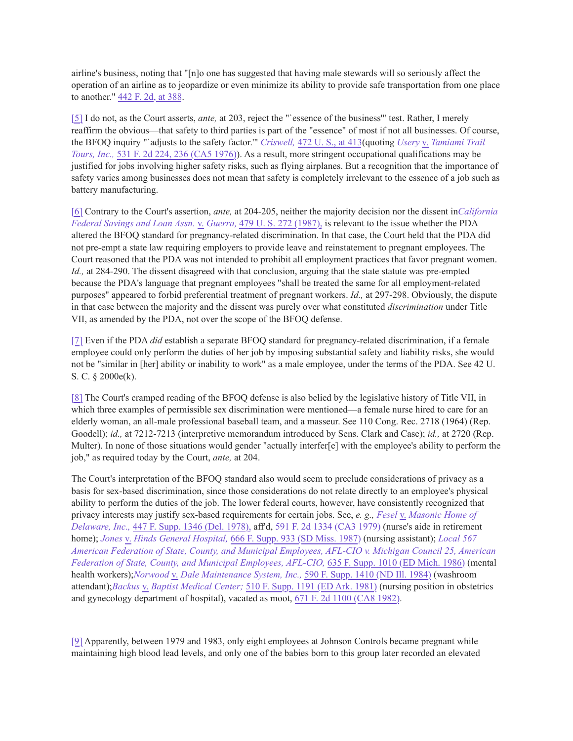airline's business, noting that "[n]o one has suggested that having male stewards will so seriously affect the operation of an airline as to jeopardize or even minimize its ability to provide safe transportation from one place to another." [442 F. 2d, at 388](http://scholar.google.com/scholar_case?case=16459524217577963657&q=Automobile+Workers+v.+Johnson+Controls&hl=en&as_sdt=2,14&scilh=0).

[\[5\]](http://scholar.google.com/scholar_case?q=Automobile+Workers+v.+Johnson+Controls&hl=en&as_sdt=2,14&case=16132234154136361578&scilh=0#r%5B10%5D) I do not, as the Court asserts, *ante,* at 203, reject the "`essence of the business'" test. Rather, I merely reaffirm the obvious—that safety to third parties is part of the "essence" of most if not all businesses. Of course, the BFOQ inquiry "`adjusts to the safety factor.'" *[Criswell,](http://scholar.google.com/scholar_case?case=7232159241469569502&q=Automobile+Workers+v.+Johnson+Controls&hl=en&as_sdt=2,14&scilh=0)* [472 U. S., at 413](http://scholar.google.com/scholar_case?case=7232159241469569502&q=Automobile+Workers+v.+Johnson+Controls&hl=en&as_sdt=2,14&scilh=0)(quoting *[Usery](http://scholar.google.com/scholar_case?case=927929649985281002&q=Automobile+Workers+v.+Johnson+Controls&hl=en&as_sdt=2,14&scilh=0)* [v.](http://scholar.google.com/scholar_case?case=927929649985281002&q=Automobile+Workers+v.+Johnson+Controls&hl=en&as_sdt=2,14&scilh=0) *[Tamiami Trail](http://scholar.google.com/scholar_case?case=927929649985281002&q=Automobile+Workers+v.+Johnson+Controls&hl=en&as_sdt=2,14&scilh=0)  [Tours, Inc.,](http://scholar.google.com/scholar_case?case=927929649985281002&q=Automobile+Workers+v.+Johnson+Controls&hl=en&as_sdt=2,14&scilh=0)* [531 F. 2d 224, 236 \(CA5 1976\)\)](http://scholar.google.com/scholar_case?case=927929649985281002&q=Automobile+Workers+v.+Johnson+Controls&hl=en&as_sdt=2,14&scilh=0). As a result, more stringent occupational qualifications may be justified for jobs involving higher safety risks, such as flying airplanes. But a recognition that the importance of safety varies among businesses does not mean that safety is completely irrelevant to the essence of a job such as battery manufacturing.

[\[6\]](http://scholar.google.com/scholar_case?q=Automobile+Workers+v.+Johnson+Controls&hl=en&as_sdt=2,14&case=16132234154136361578&scilh=0#r%5B11%5D) Contrary to the Court's assertion, *ante,* at 204-205, neither the majority decision nor the dissent in*[California](http://scholar.google.com/scholar_case?case=16446221120081599738&q=Automobile+Workers+v.+Johnson+Controls&hl=en&as_sdt=2,14&scilh=0)  [Federal Savings and Loan Assn.](http://scholar.google.com/scholar_case?case=16446221120081599738&q=Automobile+Workers+v.+Johnson+Controls&hl=en&as_sdt=2,14&scilh=0)* [v.](http://scholar.google.com/scholar_case?case=16446221120081599738&q=Automobile+Workers+v.+Johnson+Controls&hl=en&as_sdt=2,14&scilh=0) *[Guerra,](http://scholar.google.com/scholar_case?case=16446221120081599738&q=Automobile+Workers+v.+Johnson+Controls&hl=en&as_sdt=2,14&scilh=0)* [479 U. S. 272 \(1987\),](http://scholar.google.com/scholar_case?case=16446221120081599738&q=Automobile+Workers+v.+Johnson+Controls&hl=en&as_sdt=2,14&scilh=0) is relevant to the issue whether the PDA altered the BFOQ standard for pregnancy-related discrimination. In that case, the Court held that the PDA did not pre-empt a state law requiring employers to provide leave and reinstatement to pregnant employees. The Court reasoned that the PDA was not intended to prohibit all employment practices that favor pregnant women. *Id.,* at 284-290. The dissent disagreed with that conclusion, arguing that the state statute was pre-empted because the PDA's language that pregnant employees "shall be treated the same for all employment-related purposes" appeared to forbid preferential treatment of pregnant workers. *Id.,* at 297-298. Obviously, the dispute in that case between the majority and the dissent was purely over what constituted *discrimination* under Title VII, as amended by the PDA, not over the scope of the BFOQ defense.

[\[7\]](http://scholar.google.com/scholar_case?q=Automobile+Workers+v.+Johnson+Controls&hl=en&as_sdt=2,14&case=16132234154136361578&scilh=0#r%5B12%5D) Even if the PDA *did* establish a separate BFOQ standard for pregnancy-related discrimination, if a female employee could only perform the duties of her job by imposing substantial safety and liability risks, she would not be "similar in [her] ability or inability to work" as a male employee, under the terms of the PDA. See 42 U. S. C. § 2000e(k).

[\[8\]](http://scholar.google.com/scholar_case?q=Automobile+Workers+v.+Johnson+Controls&hl=en&as_sdt=2,14&case=16132234154136361578&scilh=0#r%5B13%5D) The Court's cramped reading of the BFOQ defense is also belied by the legislative history of Title VII, in which three examples of permissible sex discrimination were mentioned—a female nurse hired to care for an elderly woman, an all-male professional baseball team, and a masseur. See 110 Cong. Rec. 2718 (1964) (Rep. Goodell); *id.,* at 7212-7213 (interpretive memorandum introduced by Sens. Clark and Case); *id.,* at 2720 (Rep. Multer). In none of those situations would gender "actually interfer[e] with the employee's ability to perform the job," as required today by the Court, *ante,* at 204.

The Court's interpretation of the BFOQ standard also would seem to preclude considerations of privacy as a basis for sex-based discrimination, since those considerations do not relate directly to an employee's physical ability to perform the duties of the job. The lower federal courts, however, have consistently recognized that privacy interests may justify sex-based requirements for certain jobs. See, *e. g., [Fesel](http://scholar.google.com/scholar_case?case=3856379225294385847&q=Automobile+Workers+v.+Johnson+Controls&hl=en&as_sdt=2,14&scilh=0)* [v.](http://scholar.google.com/scholar_case?case=3856379225294385847&q=Automobile+Workers+v.+Johnson+Controls&hl=en&as_sdt=2,14&scilh=0) *[Masonic Home of](http://scholar.google.com/scholar_case?case=3856379225294385847&q=Automobile+Workers+v.+Johnson+Controls&hl=en&as_sdt=2,14&scilh=0)  [Delaware, Inc.,](http://scholar.google.com/scholar_case?case=3856379225294385847&q=Automobile+Workers+v.+Johnson+Controls&hl=en&as_sdt=2,14&scilh=0)* [447 F. Supp. 1346 \(Del. 1978\),](http://scholar.google.com/scholar_case?case=3856379225294385847&q=Automobile+Workers+v.+Johnson+Controls&hl=en&as_sdt=2,14&scilh=0) aff'd, [591 F. 2d 1334 \(CA3 1979\)](http://scholar.google.com/scholar_case?about=257195292590759898&q=Automobile+Workers+v.+Johnson+Controls&hl=en&as_sdt=2,14&scilh=0) (nurse's aide in retirement home); *[Jones](http://scholar.google.com/scholar_case?case=11111895550451188534&q=Automobile+Workers+v.+Johnson+Controls&hl=en&as_sdt=2,14&scilh=0)* [v.](http://scholar.google.com/scholar_case?case=11111895550451188534&q=Automobile+Workers+v.+Johnson+Controls&hl=en&as_sdt=2,14&scilh=0) *[Hinds General Hospital,](http://scholar.google.com/scholar_case?case=11111895550451188534&q=Automobile+Workers+v.+Johnson+Controls&hl=en&as_sdt=2,14&scilh=0)* [666 F. Supp. 933 \(SD Miss. 1987\)](http://scholar.google.com/scholar_case?case=11111895550451188534&q=Automobile+Workers+v.+Johnson+Controls&hl=en&as_sdt=2,14&scilh=0) (nursing assistant); *[Local 567](http://scholar.google.com/scholar_case?case=8040462277495886692&q=Automobile+Workers+v.+Johnson+Controls&hl=en&as_sdt=2,14&scilh=0)  [American Federation of State, County, and Municipal Employees, AFL-CIO v. Michigan Council 25, American](http://scholar.google.com/scholar_case?case=8040462277495886692&q=Automobile+Workers+v.+Johnson+Controls&hl=en&as_sdt=2,14&scilh=0)  [Federation of State, County, and Municipal Employees, AFL-CIO,](http://scholar.google.com/scholar_case?case=8040462277495886692&q=Automobile+Workers+v.+Johnson+Controls&hl=en&as_sdt=2,14&scilh=0)* [635 F. Supp. 1010 \(ED Mich. 1986\)](http://scholar.google.com/scholar_case?case=8040462277495886692&q=Automobile+Workers+v.+Johnson+Controls&hl=en&as_sdt=2,14&scilh=0) (mental health workers);*[Norwood](http://scholar.google.com/scholar_case?case=16333001480671630309&q=Automobile+Workers+v.+Johnson+Controls&hl=en&as_sdt=2,14&scilh=0)* [v.](http://scholar.google.com/scholar_case?case=16333001480671630309&q=Automobile+Workers+v.+Johnson+Controls&hl=en&as_sdt=2,14&scilh=0) *[Dale Maintenance System, Inc.,](http://scholar.google.com/scholar_case?case=16333001480671630309&q=Automobile+Workers+v.+Johnson+Controls&hl=en&as_sdt=2,14&scilh=0)* [590 F. Supp. 1410 \(ND Ill. 1984\)](http://scholar.google.com/scholar_case?case=16333001480671630309&q=Automobile+Workers+v.+Johnson+Controls&hl=en&as_sdt=2,14&scilh=0) (washroom attendant);*[Backus](http://scholar.google.com/scholar_case?case=2210156281132062938&q=Automobile+Workers+v.+Johnson+Controls&hl=en&as_sdt=2,14&scilh=0)* [v.](http://scholar.google.com/scholar_case?case=2210156281132062938&q=Automobile+Workers+v.+Johnson+Controls&hl=en&as_sdt=2,14&scilh=0) *[Baptist Medical Center;](http://scholar.google.com/scholar_case?case=2210156281132062938&q=Automobile+Workers+v.+Johnson+Controls&hl=en&as_sdt=2,14&scilh=0)* [510 F. Supp. 1191 \(ED Ark. 1981\)](http://scholar.google.com/scholar_case?case=2210156281132062938&q=Automobile+Workers+v.+Johnson+Controls&hl=en&as_sdt=2,14&scilh=0) (nursing position in obstetrics and gynecology department of hospital), vacated as moot, [671 F. 2d 1100 \(CA8 1982\)](http://scholar.google.com/scholar_case?case=3809230403515037182&q=Automobile+Workers+v.+Johnson+Controls&hl=en&as_sdt=2,14&scilh=0).

[\[9\]](http://scholar.google.com/scholar_case?q=Automobile+Workers+v.+Johnson+Controls&hl=en&as_sdt=2,14&case=16132234154136361578&scilh=0#r%5B14%5D) Apparently, between 1979 and 1983, only eight employees at Johnson Controls became pregnant while maintaining high blood lead levels, and only one of the babies born to this group later recorded an elevated